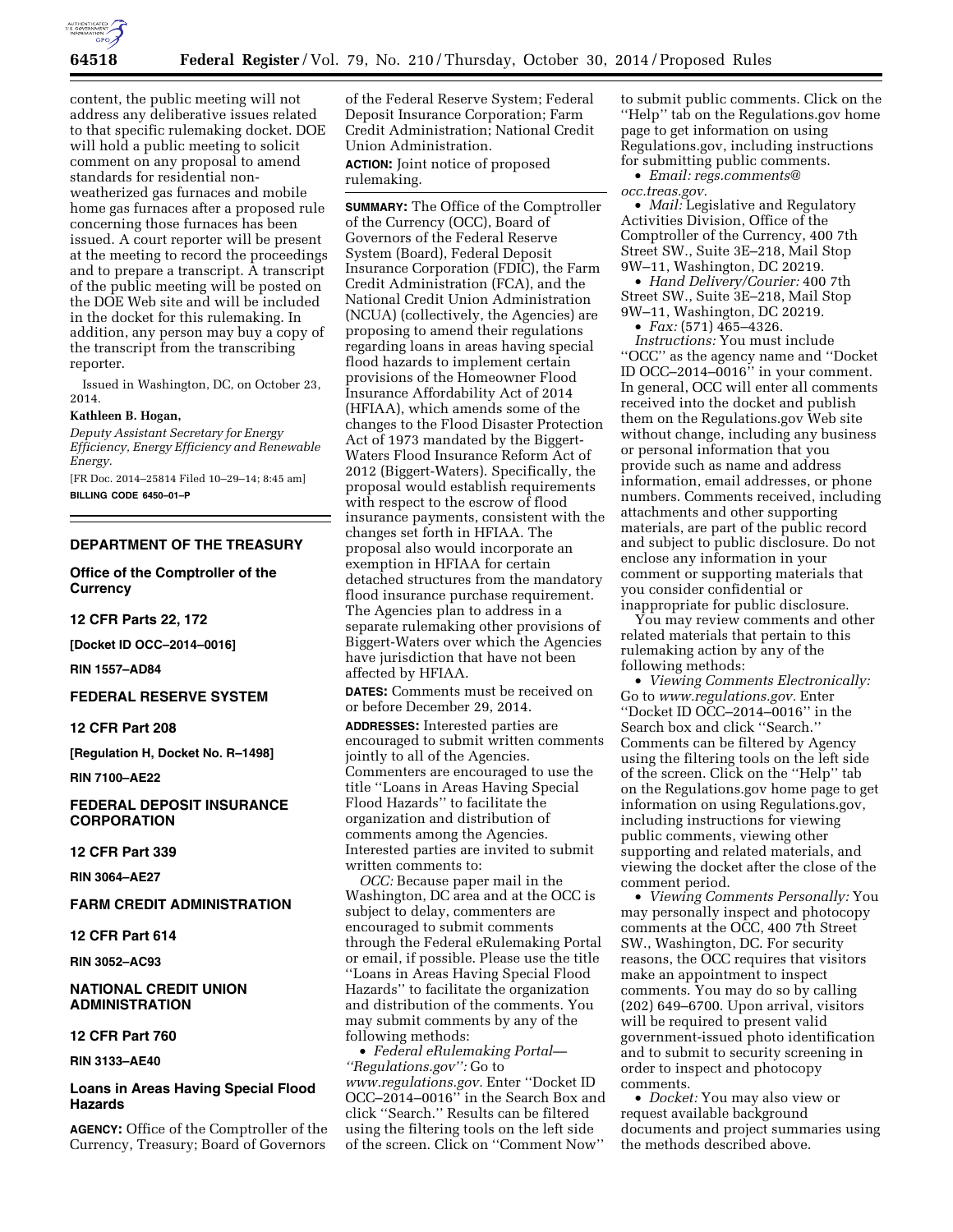

content, the public meeting will not address any deliberative issues related to that specific rulemaking docket. DOE will hold a public meeting to solicit comment on any proposal to amend standards for residential nonweatherized gas furnaces and mobile home gas furnaces after a proposed rule concerning those furnaces has been issued. A court reporter will be present at the meeting to record the proceedings and to prepare a transcript. A transcript of the public meeting will be posted on the DOE Web site and will be included in the docket for this rulemaking. In addition, any person may buy a copy of the transcript from the transcribing reporter.

Issued in Washington, DC, on October 23, 2014.

### **Kathleen B. Hogan,**

*Deputy Assistant Secretary for Energy Efficiency, Energy Efficiency and Renewable Energy.* 

[FR Doc. 2014–25814 Filed 10–29–14; 8:45 am] **BILLING CODE 6450–01–P** 

**DEPARTMENT OF THE TREASURY** 

**Office of the Comptroller of the Currency** 

**12 CFR Parts 22, 172** 

**[Docket ID OCC–2014–0016]** 

**RIN 1557–AD84** 

# **FEDERAL RESERVE SYSTEM**

# **12 CFR Part 208**

**[Regulation H, Docket No. R–1498]** 

**RIN 7100–AE22** 

# **FEDERAL DEPOSIT INSURANCE CORPORATION**

**12 CFR Part 339** 

**RIN 3064–AE27** 

# **FARM CREDIT ADMINISTRATION**

# **12 CFR Part 614**

**RIN 3052–AC93** 

## **NATIONAL CREDIT UNION ADMINISTRATION**

# **12 CFR Part 760**

**RIN 3133–AE40** 

# **Loans in Areas Having Special Flood Hazards**

**AGENCY:** Office of the Comptroller of the Currency, Treasury; Board of Governors

of the Federal Reserve System; Federal Deposit Insurance Corporation; Farm Credit Administration; National Credit Union Administration.

**ACTION:** Joint notice of proposed rulemaking.

**SUMMARY:** The Office of the Comptroller of the Currency (OCC), Board of Governors of the Federal Reserve System (Board), Federal Deposit Insurance Corporation (FDIC), the Farm Credit Administration (FCA), and the National Credit Union Administration (NCUA) (collectively, the Agencies) are proposing to amend their regulations regarding loans in areas having special flood hazards to implement certain provisions of the Homeowner Flood Insurance Affordability Act of 2014 (HFIAA), which amends some of the changes to the Flood Disaster Protection Act of 1973 mandated by the Biggert-Waters Flood Insurance Reform Act of 2012 (Biggert-Waters). Specifically, the proposal would establish requirements with respect to the escrow of flood insurance payments, consistent with the changes set forth in HFIAA. The proposal also would incorporate an exemption in HFIAA for certain detached structures from the mandatory flood insurance purchase requirement. The Agencies plan to address in a separate rulemaking other provisions of Biggert-Waters over which the Agencies have jurisdiction that have not been affected by HFIAA.

**DATES:** Comments must be received on or before December 29, 2014.

**ADDRESSES:** Interested parties are encouraged to submit written comments jointly to all of the Agencies. Commenters are encouraged to use the title ''Loans in Areas Having Special Flood Hazards'' to facilitate the organization and distribution of comments among the Agencies. Interested parties are invited to submit written comments to:

*OCC:* Because paper mail in the Washington, DC area and at the OCC is subject to delay, commenters are encouraged to submit comments through the Federal eRulemaking Portal or email, if possible. Please use the title ''Loans in Areas Having Special Flood Hazards'' to facilitate the organization and distribution of the comments. You may submit comments by any of the following methods:

• *Federal eRulemaking Portal— ''Regulations.gov'':* Go to *[www.regulations.gov.](http://www.regulations.gov)* Enter ''Docket ID OCC–2014–0016'' in the Search Box and click ''Search.'' Results can be filtered using the filtering tools on the left side of the screen. Click on ''Comment Now''

to submit public comments. Click on the ''Help'' tab on the Regulations.gov home page to get information on using Regulations.gov, including instructions for submitting public comments.

• *Email: [regs.comments@](mailto:regs.comments@occ.treas.gov) [occ.treas.gov.](mailto:regs.comments@occ.treas.gov)* 

• *Mail:* Legislative and Regulatory Activities Division, Office of the Comptroller of the Currency, 400 7th Street SW., Suite 3E–218, Mail Stop 9W–11, Washington, DC 20219.

• *Hand Delivery/Courier:* 400 7th Street SW., Suite 3E–218, Mail Stop 9W–11, Washington, DC 20219.

• *Fax:* (571) 465–4326.

*Instructions:* You must include ''OCC'' as the agency name and ''Docket ID OCC–2014–0016'' in your comment. In general, OCC will enter all comments received into the docket and publish them on the Regulations.gov Web site without change, including any business or personal information that you provide such as name and address information, email addresses, or phone numbers. Comments received, including attachments and other supporting materials, are part of the public record and subject to public disclosure. Do not enclose any information in your comment or supporting materials that you consider confidential or inappropriate for public disclosure.

You may review comments and other related materials that pertain to this rulemaking action by any of the following methods:

• *Viewing Comments Electronically:*  Go to *[www.regulations.gov.](http://www.regulations.gov)* Enter ''Docket ID OCC–2014–0016'' in the Search box and click ''Search.'' Comments can be filtered by Agency using the filtering tools on the left side of the screen. Click on the ''Help'' tab on the Regulations.gov home page to get information on using Regulations.gov, including instructions for viewing public comments, viewing other supporting and related materials, and viewing the docket after the close of the comment period.

• *Viewing Comments Personally:* You may personally inspect and photocopy comments at the OCC, 400 7th Street SW., Washington, DC. For security reasons, the OCC requires that visitors make an appointment to inspect comments. You may do so by calling (202) 649–6700. Upon arrival, visitors will be required to present valid government-issued photo identification and to submit to security screening in order to inspect and photocopy comments.

• *Docket:* You may also view or request available background documents and project summaries using the methods described above.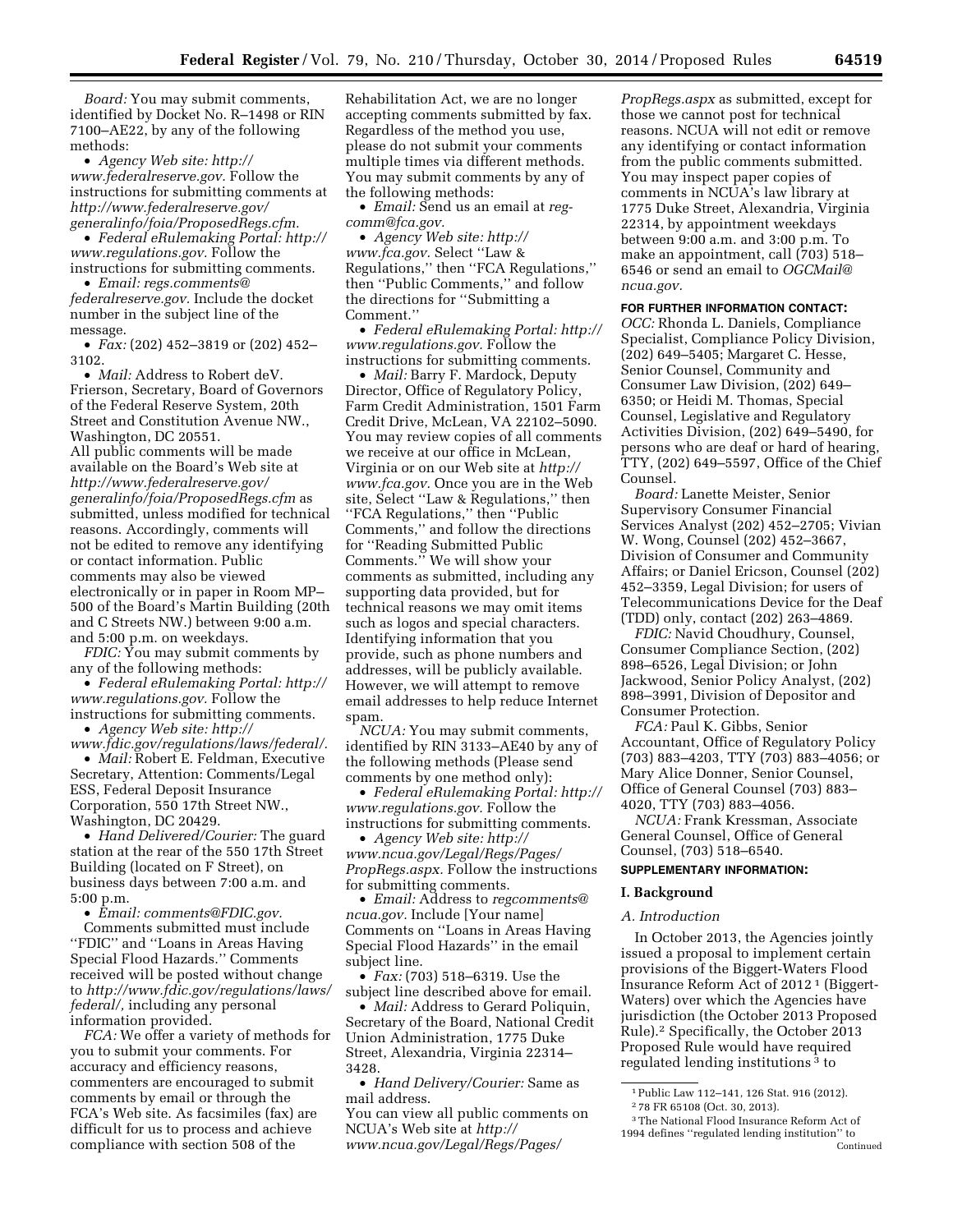*Board:* You may submit comments, identified by Docket No. R–1498 or RIN 7100–AE22, by any of the following methods:

• *Agency Web site: [http://](http://www.federalreserve.gov) [www.federalreserve.gov.](http://www.federalreserve.gov)* Follow the instructions for submitting comments at *[http://www.federalreserve.gov/](http://www.federalreserve.gov/generalinfo/foia/ProposedRegs.cfm) [generalinfo/foia/ProposedRegs.cfm.](http://www.federalreserve.gov/generalinfo/foia/ProposedRegs.cfm)* 

• *Federal eRulemaking Portal: [http://](http://www.regulations.gov)  [www.regulations.gov.](http://www.regulations.gov)* Follow the instructions for submitting comments.

• *Email: [regs.comments@](mailto:regs.comments@federalreserve.gov) [federalreserve.gov.](mailto:regs.comments@federalreserve.gov)* Include the docket number in the subject line of the message.

• *Fax:* (202) 452–3819 or (202) 452– 3102.

• *Mail:* Address to Robert deV. Frierson, Secretary, Board of Governors of the Federal Reserve System, 20th Street and Constitution Avenue NW., Washington, DC 20551. All public comments will be made available on the Board's Web site at *[http://www.federalreserve.gov/](http://www.federalreserve.gov/generalinfo/foia/ProposedRegs.cfm) [generalinfo/foia/ProposedRegs.cfm](http://www.federalreserve.gov/generalinfo/foia/ProposedRegs.cfm)* as submitted, unless modified for technical reasons. Accordingly, comments will not be edited to remove any identifying or contact information. Public comments may also be viewed electronically or in paper in Room MP– 500 of the Board's Martin Building (20th and C Streets NW.) between 9:00 a.m. and 5:00 p.m. on weekdays.

*FDIC:* You may submit comments by any of the following methods:

• *Federal eRulemaking Portal: [http://](http://www.regulations.gov)  [www.regulations.gov.](http://www.regulations.gov)* Follow the instructions for submitting comments.

• *Agency Web site: [http://](http://www.fdic.gov/regulations/laws/federal/)*

*[www.fdic.gov/regulations/laws/federal/.](http://www.fdic.gov/regulations/laws/federal/)*  • *Mail:* Robert E. Feldman, Executive Secretary, Attention: Comments/Legal ESS, Federal Deposit Insurance Corporation, 550 17th Street NW., Washington, DC 20429.

• *Hand Delivered/Courier:* The guard station at the rear of the 550 17th Street Building (located on F Street), on business days between 7:00 a.m. and 5:00 p.m.

• *Email: [comments@FDIC.gov.](mailto:comments@FDIC.gov)* 

Comments submitted must include ''FDIC'' and ''Loans in Areas Having Special Flood Hazards.'' Comments received will be posted without change to *[http://www.fdic.gov/regulations/laws/](http://www.fdic.gov/regulations/laws/federal/)  [federal/,](http://www.fdic.gov/regulations/laws/federal/)* including any personal information provided.

*FCA:* We offer a variety of methods for you to submit your comments. For accuracy and efficiency reasons, commenters are encouraged to submit comments by email or through the FCA's Web site. As facsimiles (fax) are difficult for us to process and achieve compliance with section 508 of the

Rehabilitation Act, we are no longer accepting comments submitted by fax. Regardless of the method you use, please do not submit your comments multiple times via different methods. You may submit comments by any of the following methods:

• *Email:* Send us an email at *[reg](mailto:reg-comm@fca.gov)[comm@fca.gov.](mailto:reg-comm@fca.gov)* 

• *Agency Web site: [http://](http://www.fca.gov) [www.fca.gov.](http://www.fca.gov)* Select ''Law & Regulations,'' then ''FCA Regulations,'' then ''Public Comments,'' and follow the directions for ''Submitting a Comment.''

• *Federal eRulemaking Portal: [http://](http://www.regulations.gov)  [www.regulations.gov.](http://www.regulations.gov)* Follow the instructions for submitting comments.

• *Mail:* Barry F. Mardock, Deputy Director, Office of Regulatory Policy, Farm Credit Administration, 1501 Farm Credit Drive, McLean, VA 22102–5090. You may review copies of all comments we receive at our office in McLean, Virginia or on our Web site at *[http://](http://www.fca.gov) [www.fca.gov.](http://www.fca.gov)* Once you are in the Web site, Select ''Law & Regulations,'' then ''FCA Regulations,'' then ''Public Comments,'' and follow the directions for ''Reading Submitted Public Comments.'' We will show your comments as submitted, including any supporting data provided, but for technical reasons we may omit items such as logos and special characters. Identifying information that you provide, such as phone numbers and addresses, will be publicly available. However, we will attempt to remove email addresses to help reduce Internet spam.

*NCUA:* You may submit comments, identified by RIN 3133–AE40 by any of the following methods (Please send comments by one method only):

• *Federal eRulemaking Portal: [http://](http://www.regulations.gov)  [www.regulations.gov.](http://www.regulations.gov)* Follow the instructions for submitting comments.

• *Agency Web site: [http://](http://www.ncua.gov/Legal/Regs/Pages/PropRegs.aspx) [www.ncua.gov/Legal/Regs/Pages/](http://www.ncua.gov/Legal/Regs/Pages/PropRegs.aspx) [PropRegs.aspx.](http://www.ncua.gov/Legal/Regs/Pages/PropRegs.aspx)* Follow the instructions for submitting comments.

• *Email:* Address to *[regcomments@](mailto:regcomments@ncua.gov) [ncua.gov.](mailto:regcomments@ncua.gov)* Include [Your name] Comments on ''Loans in Areas Having Special Flood Hazards'' in the email subject line.

• *Fax:* (703) 518–6319. Use the subject line described above for email.

• *Mail:* Address to Gerard Poliquin, Secretary of the Board, National Credit Union Administration, 1775 Duke Street, Alexandria, Virginia 22314– 3428.

• *Hand Delivery/Courier:* Same as mail address.

You can view all public comments on NCUA's Web site at *[http://](http://www.ncua.gov/Legal/Regs/Pages/PropRegs.aspx) [www.ncua.gov/Legal/Regs/Pages/](http://www.ncua.gov/Legal/Regs/Pages/PropRegs.aspx)*

*[PropRegs.aspx](http://www.ncua.gov/Legal/Regs/Pages/PropRegs.aspx)* as submitted, except for those we cannot post for technical reasons. NCUA will not edit or remove any identifying or contact information from the public comments submitted. You may inspect paper copies of comments in NCUA's law library at 1775 Duke Street, Alexandria, Virginia 22314, by appointment weekdays between 9:00 a.m. and 3:00 p.m. To make an appointment, call (703) 518– 6546 or send an email to *[OGCMail@](mailto:OGCMail@ncua.gov) [ncua.gov.](mailto:OGCMail@ncua.gov)* 

# **FOR FURTHER INFORMATION CONTACT:**

*OCC:* Rhonda L. Daniels, Compliance Specialist, Compliance Policy Division, (202) 649–5405; Margaret C. Hesse, Senior Counsel, Community and Consumer Law Division, (202) 649– 6350; or Heidi M. Thomas, Special Counsel, Legislative and Regulatory Activities Division, (202) 649–5490, for persons who are deaf or hard of hearing, TTY, (202) 649–5597, Office of the Chief Counsel.

*Board:* Lanette Meister, Senior Supervisory Consumer Financial Services Analyst (202) 452–2705; Vivian W. Wong, Counsel (202) 452–3667, Division of Consumer and Community Affairs; or Daniel Ericson, Counsel (202) 452–3359, Legal Division; for users of Telecommunications Device for the Deaf (TDD) only, contact (202) 263–4869.

*FDIC:* Navid Choudhury, Counsel, Consumer Compliance Section, (202) 898–6526, Legal Division; or John Jackwood, Senior Policy Analyst, (202) 898–3991, Division of Depositor and Consumer Protection.

*FCA:* Paul K. Gibbs, Senior Accountant, Office of Regulatory Policy (703) 883–4203, TTY (703) 883–4056; or Mary Alice Donner, Senior Counsel, Office of General Counsel (703) 883– 4020, TTY (703) 883–4056.

*NCUA:* Frank Kressman, Associate General Counsel, Office of General Counsel, (703) 518–6540.

## **SUPPLEMENTARY INFORMATION:**

#### **I. Background**

#### *A. Introduction*

In October 2013, the Agencies jointly issued a proposal to implement certain provisions of the Biggert-Waters Flood Insurance Reform Act of 2012 1 (Biggert-Waters) over which the Agencies have jurisdiction (the October 2013 Proposed Rule).2 Specifically, the October 2013 Proposed Rule would have required regulated lending institutions 3 to

<sup>1</sup>Public Law 112–141, 126 Stat. 916 (2012). 2 78 FR 65108 (Oct. 30, 2013).

<sup>3</sup>The National Flood Insurance Reform Act of 1994 defines ''regulated lending institution'' to Continued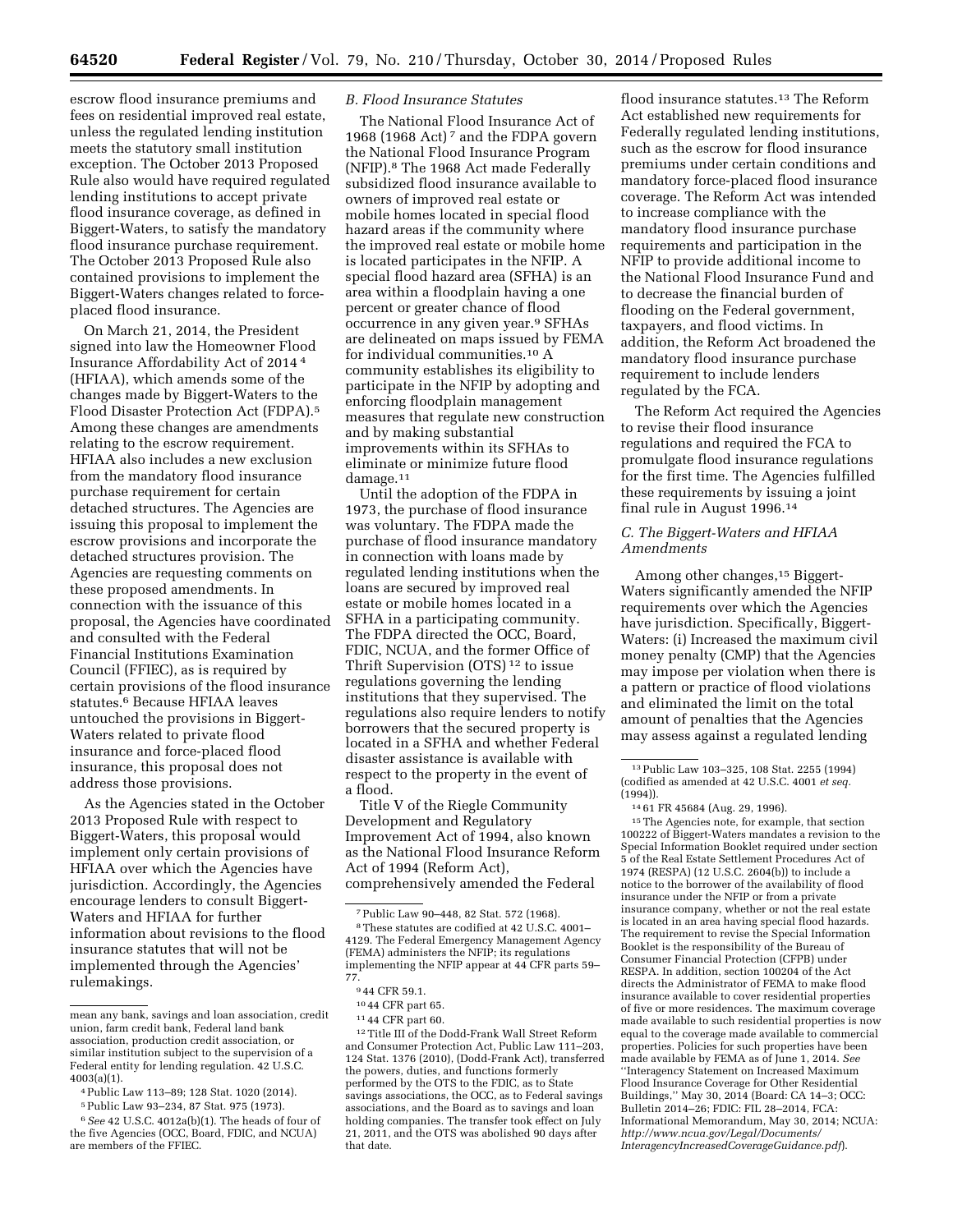escrow flood insurance premiums and fees on residential improved real estate, unless the regulated lending institution meets the statutory small institution exception. The October 2013 Proposed Rule also would have required regulated lending institutions to accept private flood insurance coverage, as defined in Biggert-Waters, to satisfy the mandatory flood insurance purchase requirement. The October 2013 Proposed Rule also contained provisions to implement the Biggert-Waters changes related to forceplaced flood insurance.

On March 21, 2014, the President signed into law the Homeowner Flood Insurance Affordability Act of 2014 4 (HFIAA), which amends some of the changes made by Biggert-Waters to the Flood Disaster Protection Act (FDPA).5 Among these changes are amendments relating to the escrow requirement. HFIAA also includes a new exclusion from the mandatory flood insurance purchase requirement for certain detached structures. The Agencies are issuing this proposal to implement the escrow provisions and incorporate the detached structures provision. The Agencies are requesting comments on these proposed amendments. In connection with the issuance of this proposal, the Agencies have coordinated and consulted with the Federal Financial Institutions Examination Council (FFIEC), as is required by certain provisions of the flood insurance statutes.6 Because HFIAA leaves untouched the provisions in Biggert-Waters related to private flood insurance and force-placed flood insurance, this proposal does not address those provisions.

As the Agencies stated in the October 2013 Proposed Rule with respect to Biggert-Waters, this proposal would implement only certain provisions of HFIAA over which the Agencies have jurisdiction. Accordingly, the Agencies encourage lenders to consult Biggert-Waters and HFIAA for further information about revisions to the flood insurance statutes that will not be implemented through the Agencies' rulemakings.

# *B. Flood Insurance Statutes*

The National Flood Insurance Act of 1968 (1968 Act) 7 and the FDPA govern the National Flood Insurance Program (NFIP).8 The 1968 Act made Federally subsidized flood insurance available to owners of improved real estate or mobile homes located in special flood hazard areas if the community where the improved real estate or mobile home is located participates in the NFIP. A special flood hazard area (SFHA) is an area within a floodplain having a one percent or greater chance of flood occurrence in any given year.<sup>9</sup> SFHAs are delineated on maps issued by FEMA for individual communities.10 A community establishes its eligibility to participate in the NFIP by adopting and enforcing floodplain management measures that regulate new construction and by making substantial improvements within its SFHAs to eliminate or minimize future flood damage.<sup>11</sup>

Until the adoption of the FDPA in 1973, the purchase of flood insurance was voluntary. The FDPA made the purchase of flood insurance mandatory in connection with loans made by regulated lending institutions when the loans are secured by improved real estate or mobile homes located in a SFHA in a participating community. The FDPA directed the OCC, Board, FDIC, NCUA, and the former Office of Thrift Supervision (OTS) 12 to issue regulations governing the lending institutions that they supervised. The regulations also require lenders to notify borrowers that the secured property is located in a SFHA and whether Federal disaster assistance is available with respect to the property in the event of a flood.

Title V of the Riegle Community Development and Regulatory Improvement Act of 1994, also known as the National Flood Insurance Reform Act of 1994 (Reform Act), comprehensively amended the Federal

12Title III of the Dodd-Frank Wall Street Reform and Consumer Protection Act, Public Law 111–203, 124 Stat. 1376 (2010), (Dodd-Frank Act), transferred the powers, duties, and functions formerly performed by the OTS to the FDIC, as to State savings associations, the OCC, as to Federal savings associations, and the Board as to savings and loan holding companies. The transfer took effect on July 21, 2011, and the OTS was abolished 90 days after that date.

flood insurance statutes.<sup>13</sup> The Reform Act established new requirements for Federally regulated lending institutions, such as the escrow for flood insurance premiums under certain conditions and mandatory force-placed flood insurance coverage. The Reform Act was intended to increase compliance with the mandatory flood insurance purchase requirements and participation in the NFIP to provide additional income to the National Flood Insurance Fund and to decrease the financial burden of flooding on the Federal government, taxpayers, and flood victims. In addition, the Reform Act broadened the mandatory flood insurance purchase requirement to include lenders regulated by the FCA.

The Reform Act required the Agencies to revise their flood insurance regulations and required the FCA to promulgate flood insurance regulations for the first time. The Agencies fulfilled these requirements by issuing a joint final rule in August 1996.14

# *C. The Biggert-Waters and HFIAA Amendments*

Among other changes,15 Biggert-Waters significantly amended the NFIP requirements over which the Agencies have jurisdiction. Specifically, Biggert-Waters: (i) Increased the maximum civil money penalty (CMP) that the Agencies may impose per violation when there is a pattern or practice of flood violations and eliminated the limit on the total amount of penalties that the Agencies may assess against a regulated lending

15The Agencies note, for example, that section 100222 of Biggert-Waters mandates a revision to the Special Information Booklet required under section 5 of the Real Estate Settlement Procedures Act of 1974 (RESPA) (12 U.S.C. 2604(b)) to include a notice to the borrower of the availability of flood insurance under the NFIP or from a private insurance company, whether or not the real estate is located in an area having special flood hazards. The requirement to revise the Special Information Booklet is the responsibility of the Bureau of Consumer Financial Protection (CFPB) under RESPA. In addition, section 100204 of the Act directs the Administrator of FEMA to make flood insurance available to cover residential properties of five or more residences. The maximum coverage made available to such residential properties is now equal to the coverage made available to commercial properties. Policies for such properties have been made available by FEMA as of June 1, 2014. *See*  ''Interagency Statement on Increased Maximum Flood Insurance Coverage for Other Residential Buildings,'' May 30, 2014 (Board: CA 14–3; OCC: Bulletin 2014–26; FDIC: FIL 28–2014, FCA: Informational Memorandum, May 30, 2014; NCUA: *[http://www.ncua.gov/Legal/Documents/](http://www.ncua.gov/Legal/Documents/InteragencyIncreasedCoverageGuidance.pdf) [InteragencyIncreasedCoverageGuidance.pdf](http://www.ncua.gov/Legal/Documents/InteragencyIncreasedCoverageGuidance.pdf)*).

mean any bank, savings and loan association, credit union, farm credit bank, Federal land bank association, production credit association, or similar institution subject to the supervision of a Federal entity for lending regulation. 42 U.S.C. 4003(a)(1).

<sup>4</sup>Public Law 113–89; 128 Stat. 1020 (2014).

<sup>5</sup>Public Law 93–234, 87 Stat. 975 (1973).

<sup>6</sup>*See* 42 U.S.C. 4012a(b)(1). The heads of four of the five Agencies (OCC, Board, FDIC, and NCUA) are members of the FFIEC.

<sup>7</sup>Public Law 90–448, 82 Stat. 572 (1968). 8These statutes are codified at 42 U.S.C. 4001– 4129. The Federal Emergency Management Agency (FEMA) administers the NFIP; its regulations implementing the NFIP appear at 44 CFR parts 59– 77.

<sup>9</sup> 44 CFR 59.1.

<sup>10</sup> 44 CFR part 65.

<sup>11</sup> 44 CFR part 60.

<sup>13</sup>Public Law 103–325, 108 Stat. 2255 (1994) (codified as amended at 42 U.S.C. 4001 *et seq.*  (1994)).

<sup>14</sup> 61 FR 45684 (Aug. 29, 1996).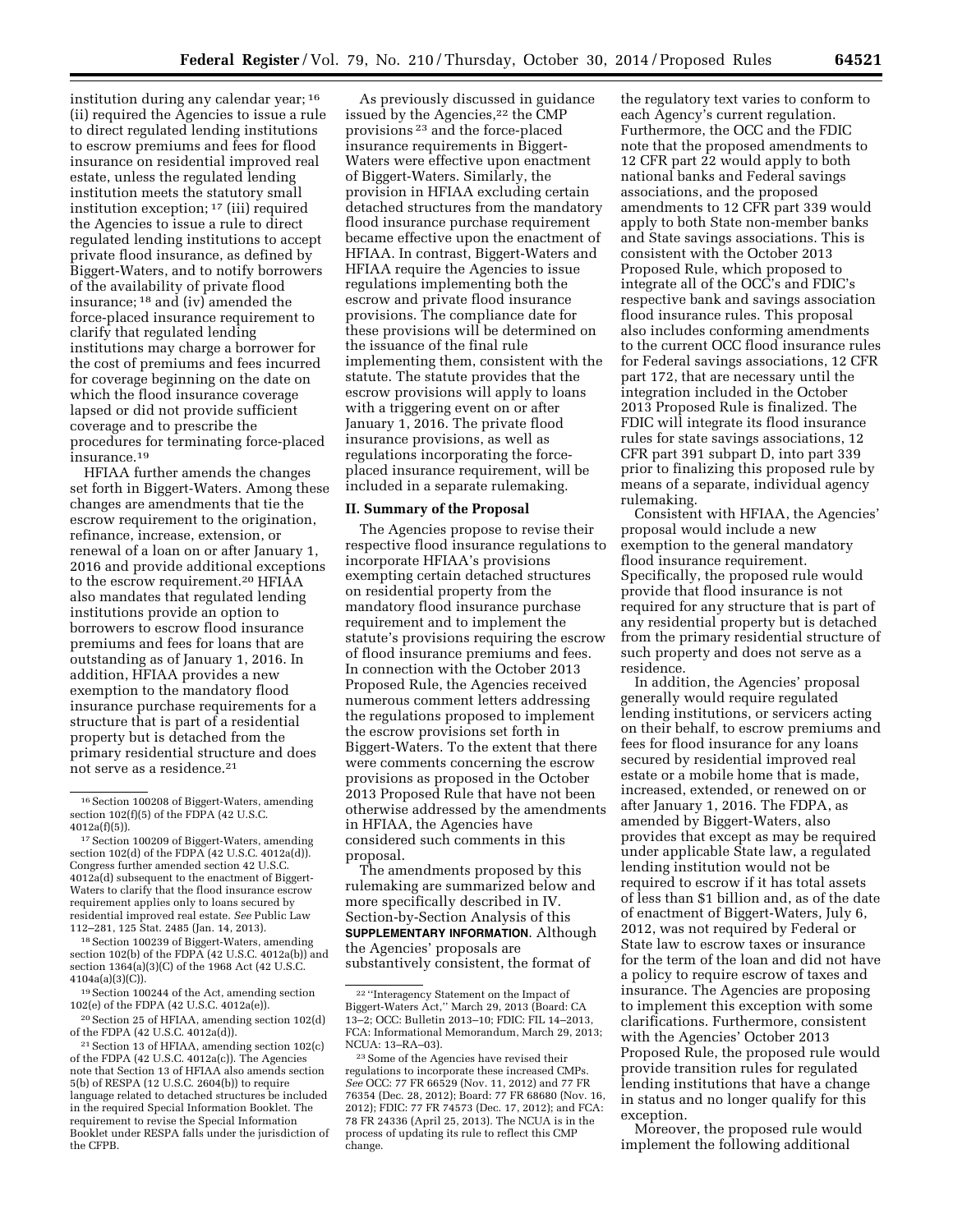institution during any calendar year; 16 (ii) required the Agencies to issue a rule to direct regulated lending institutions to escrow premiums and fees for flood insurance on residential improved real estate, unless the regulated lending institution meets the statutory small institution exception; 17 (iii) required the Agencies to issue a rule to direct regulated lending institutions to accept private flood insurance, as defined by Biggert-Waters, and to notify borrowers of the availability of private flood insurance; 18 and (iv) amended the force-placed insurance requirement to clarify that regulated lending institutions may charge a borrower for the cost of premiums and fees incurred for coverage beginning on the date on which the flood insurance coverage lapsed or did not provide sufficient coverage and to prescribe the procedures for terminating force-placed insurance.19

HFIAA further amends the changes set forth in Biggert-Waters. Among these changes are amendments that tie the escrow requirement to the origination, refinance, increase, extension, or renewal of a loan on or after January 1, 2016 and provide additional exceptions to the escrow requirement.20 HFIAA also mandates that regulated lending institutions provide an option to borrowers to escrow flood insurance premiums and fees for loans that are outstanding as of January 1, 2016. In addition, HFIAA provides a new exemption to the mandatory flood insurance purchase requirements for a structure that is part of a residential property but is detached from the primary residential structure and does not serve as a residence.21

18Section 100239 of Biggert-Waters, amending section 102(b) of the FDPA (42 U.S.C. 4012a(b)) and section 1364(a)(3)(C) of the 1968 Act (42 U.S.C. 4104a(a)(3)(C)).

19Section 100244 of the Act, amending section 102(e) of the FDPA (42 U.S.C. 4012a(e)).

20Section 25 of HFIAA, amending section 102(d) of the FDPA (42 U.S.C. 4012a(d)).

21Section 13 of HFIAA, amending section 102(c) of the FDPA (42 U.S.C. 4012a(c)). The Agencies note that Section 13 of HFIAA also amends section 5(b) of RESPA (12 U.S.C. 2604(b)) to require language related to detached structures be included in the required Special Information Booklet. The requirement to revise the Special Information Booklet under RESPA falls under the jurisdiction of the CFPB.

As previously discussed in guidance issued by the Agencies,<sup>22</sup> the CMP provisions 23 and the force-placed insurance requirements in Biggert-Waters were effective upon enactment of Biggert-Waters. Similarly, the provision in HFIAA excluding certain detached structures from the mandatory flood insurance purchase requirement became effective upon the enactment of HFIAA. In contrast, Biggert-Waters and HFIAA require the Agencies to issue regulations implementing both the escrow and private flood insurance provisions. The compliance date for these provisions will be determined on the issuance of the final rule implementing them, consistent with the statute. The statute provides that the escrow provisions will apply to loans with a triggering event on or after January 1, 2016. The private flood insurance provisions, as well as regulations incorporating the forceplaced insurance requirement, will be included in a separate rulemaking.

#### **II. Summary of the Proposal**

The Agencies propose to revise their respective flood insurance regulations to incorporate HFIAA's provisions exempting certain detached structures on residential property from the mandatory flood insurance purchase requirement and to implement the statute's provisions requiring the escrow of flood insurance premiums and fees. In connection with the October 2013 Proposed Rule, the Agencies received numerous comment letters addressing the regulations proposed to implement the escrow provisions set forth in Biggert-Waters. To the extent that there were comments concerning the escrow provisions as proposed in the October 2013 Proposed Rule that have not been otherwise addressed by the amendments in HFIAA, the Agencies have considered such comments in this proposal.

The amendments proposed by this rulemaking are summarized below and more specifically described in IV. Section-by-Section Analysis of this **SUPPLEMENTARY INFORMATION**. Although the Agencies' proposals are substantively consistent, the format of

the regulatory text varies to conform to each Agency's current regulation. Furthermore, the OCC and the FDIC note that the proposed amendments to 12 CFR part 22 would apply to both national banks and Federal savings associations, and the proposed amendments to 12 CFR part 339 would apply to both State non-member banks and State savings associations. This is consistent with the October 2013 Proposed Rule, which proposed to integrate all of the OCC's and FDIC's respective bank and savings association flood insurance rules. This proposal also includes conforming amendments to the current OCC flood insurance rules for Federal savings associations, 12 CFR part 172, that are necessary until the integration included in the October 2013 Proposed Rule is finalized. The FDIC will integrate its flood insurance rules for state savings associations, 12 CFR part 391 subpart D, into part 339 prior to finalizing this proposed rule by means of a separate, individual agency rulemaking.

Consistent with HFIAA, the Agencies' proposal would include a new exemption to the general mandatory flood insurance requirement. Specifically, the proposed rule would provide that flood insurance is not required for any structure that is part of any residential property but is detached from the primary residential structure of such property and does not serve as a residence.

In addition, the Agencies' proposal generally would require regulated lending institutions, or servicers acting on their behalf, to escrow premiums and fees for flood insurance for any loans secured by residential improved real estate or a mobile home that is made, increased, extended, or renewed on or after January 1, 2016. The FDPA, as amended by Biggert-Waters, also provides that except as may be required under applicable State law, a regulated lending institution would not be required to escrow if it has total assets of less than \$1 billion and, as of the date of enactment of Biggert-Waters, July 6, 2012, was not required by Federal or State law to escrow taxes or insurance for the term of the loan and did not have a policy to require escrow of taxes and insurance. The Agencies are proposing to implement this exception with some clarifications. Furthermore, consistent with the Agencies' October 2013 Proposed Rule, the proposed rule would provide transition rules for regulated lending institutions that have a change in status and no longer qualify for this exception.

Moreover, the proposed rule would implement the following additional

<sup>16</sup>Section 100208 of Biggert-Waters, amending section 102(f)(5) of the FDPA (42 U.S.C. 4012a(f)(5)).

<sup>&</sup>lt;sup>17</sup> Section 100209 of Biggert-Waters, amending section 102(d) of the FDPA (42 U.S.C. 4012a(d)). Congress further amended section 42 U.S.C. 4012a(d) subsequent to the enactment of Biggert-Waters to clarify that the flood insurance escrow requirement applies only to loans secured by residential improved real estate. *See* Public Law 112–281, 125 Stat. 2485 (Jan. 14, 2013).

<sup>22</sup> ''Interagency Statement on the Impact of Biggert-Waters Act,'' March 29, 2013 (Board: CA 13–2; OCC: Bulletin 2013–10; FDIC: FIL 14–2013, FCA: Informational Memorandum, March 29, 2013; NCUA: 13–RA–03).

<sup>23</sup>Some of the Agencies have revised their regulations to incorporate these increased CMPs. *See* OCC: 77 FR 66529 (Nov. 11, 2012) and 77 FR 76354 (Dec. 28, 2012); Board: 77 FR 68680 (Nov. 16, 2012); FDIC: 77 FR 74573 (Dec. 17, 2012); and FCA: 78 FR 24336 (April 25, 2013). The NCUA is in the process of updating its rule to reflect this CMP change.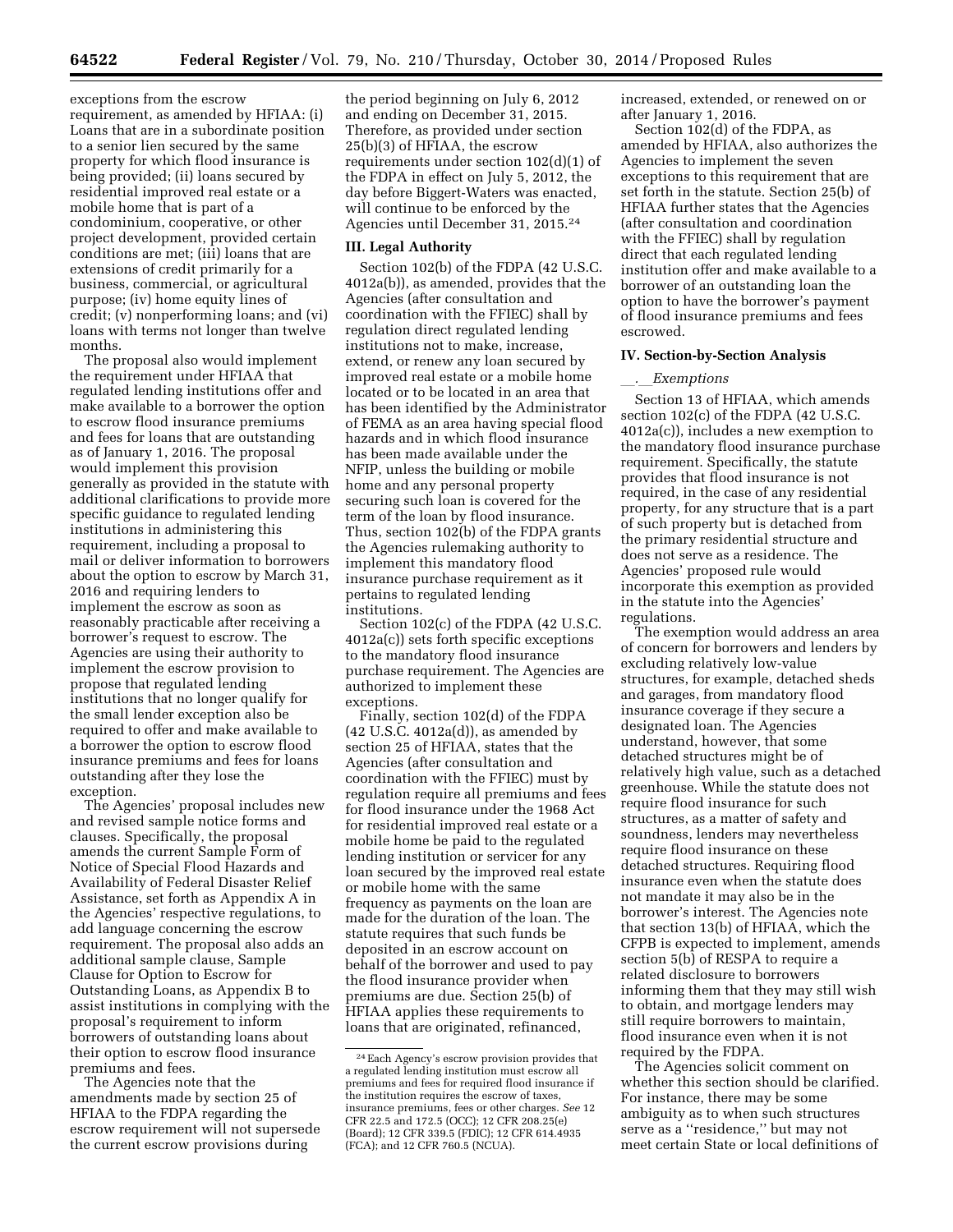exceptions from the escrow requirement, as amended by HFIAA: (i) Loans that are in a subordinate position to a senior lien secured by the same property for which flood insurance is being provided; (ii) loans secured by residential improved real estate or a mobile home that is part of a condominium, cooperative, or other project development, provided certain conditions are met; (iii) loans that are extensions of credit primarily for a business, commercial, or agricultural purpose; (iv) home equity lines of credit; (v) nonperforming loans; and (vi) loans with terms not longer than twelve months.

The proposal also would implement the requirement under HFIAA that regulated lending institutions offer and make available to a borrower the option to escrow flood insurance premiums and fees for loans that are outstanding as of January 1, 2016. The proposal would implement this provision generally as provided in the statute with additional clarifications to provide more specific guidance to regulated lending institutions in administering this requirement, including a proposal to mail or deliver information to borrowers about the option to escrow by March 31, 2016 and requiring lenders to implement the escrow as soon as reasonably practicable after receiving a borrower's request to escrow. The Agencies are using their authority to implement the escrow provision to propose that regulated lending institutions that no longer qualify for the small lender exception also be required to offer and make available to a borrower the option to escrow flood insurance premiums and fees for loans outstanding after they lose the exception.

The Agencies' proposal includes new and revised sample notice forms and clauses. Specifically, the proposal amends the current Sample Form of Notice of Special Flood Hazards and Availability of Federal Disaster Relief Assistance, set forth as Appendix A in the Agencies' respective regulations, to add language concerning the escrow requirement. The proposal also adds an additional sample clause, Sample Clause for Option to Escrow for Outstanding Loans, as Appendix B to assist institutions in complying with the proposal's requirement to inform borrowers of outstanding loans about their option to escrow flood insurance premiums and fees.

The Agencies note that the amendments made by section 25 of HFIAA to the FDPA regarding the escrow requirement will not supersede the current escrow provisions during

the period beginning on July 6, 2012 and ending on December 31, 2015. Therefore, as provided under section 25(b)(3) of HFIAA, the escrow requirements under section 102(d)(1) of the FDPA in effect on July 5, 2012, the day before Biggert-Waters was enacted, will continue to be enforced by the Agencies until December 31, 2015.24

#### **III. Legal Authority**

Section 102(b) of the FDPA (42 U.S.C. 4012a(b)), as amended, provides that the Agencies (after consultation and coordination with the FFIEC) shall by regulation direct regulated lending institutions not to make, increase, extend, or renew any loan secured by improved real estate or a mobile home located or to be located in an area that has been identified by the Administrator of FEMA as an area having special flood hazards and in which flood insurance has been made available under the NFIP, unless the building or mobile home and any personal property securing such loan is covered for the term of the loan by flood insurance. Thus, section 102(b) of the FDPA grants the Agencies rulemaking authority to implement this mandatory flood insurance purchase requirement as it pertains to regulated lending institutions.

Section 102(c) of the FDPA (42 U.S.C. 4012a(c)) sets forth specific exceptions to the mandatory flood insurance purchase requirement. The Agencies are authorized to implement these exceptions.

Finally, section 102(d) of the FDPA (42 U.S.C. 4012a(d)), as amended by section 25 of HFIAA, states that the Agencies (after consultation and coordination with the FFIEC) must by regulation require all premiums and fees for flood insurance under the 1968 Act for residential improved real estate or a mobile home be paid to the regulated lending institution or servicer for any loan secured by the improved real estate or mobile home with the same frequency as payments on the loan are made for the duration of the loan. The statute requires that such funds be deposited in an escrow account on behalf of the borrower and used to pay the flood insurance provider when premiums are due. Section 25(b) of HFIAA applies these requirements to loans that are originated, refinanced,

increased, extended, or renewed on or after January 1, 2016.

Section 102(d) of the FDPA, as amended by HFIAA, also authorizes the Agencies to implement the seven exceptions to this requirement that are set forth in the statute. Section 25(b) of HFIAA further states that the Agencies (after consultation and coordination with the FFIEC) shall by regulation direct that each regulated lending institution offer and make available to a borrower of an outstanding loan the option to have the borrower's payment of flood insurance premiums and fees escrowed.

## **IV. Section-by-Section Analysis**

#### l*.*l*Exemptions*

Section 13 of HFIAA, which amends section 102(c) of the FDPA (42 U.S.C. 4012a(c)), includes a new exemption to the mandatory flood insurance purchase requirement. Specifically, the statute provides that flood insurance is not required, in the case of any residential property, for any structure that is a part of such property but is detached from the primary residential structure and does not serve as a residence. The Agencies' proposed rule would incorporate this exemption as provided in the statute into the Agencies' regulations.

The exemption would address an area of concern for borrowers and lenders by excluding relatively low-value structures, for example, detached sheds and garages, from mandatory flood insurance coverage if they secure a designated loan. The Agencies understand, however, that some detached structures might be of relatively high value, such as a detached greenhouse. While the statute does not require flood insurance for such structures, as a matter of safety and soundness, lenders may nevertheless require flood insurance on these detached structures. Requiring flood insurance even when the statute does not mandate it may also be in the borrower's interest. The Agencies note that section 13(b) of HFIAA, which the CFPB is expected to implement, amends section 5(b) of RESPA to require a related disclosure to borrowers informing them that they may still wish to obtain, and mortgage lenders may still require borrowers to maintain, flood insurance even when it is not required by the FDPA.

The Agencies solicit comment on whether this section should be clarified. For instance, there may be some ambiguity as to when such structures serve as a ''residence,'' but may not meet certain State or local definitions of

<sup>24</sup>Each Agency's escrow provision provides that a regulated lending institution must escrow all premiums and fees for required flood insurance if the institution requires the escrow of taxes, insurance premiums, fees or other charges. *See* 12 CFR 22.5 and 172.5 (OCC); 12 CFR 208.25(e) (Board); 12 CFR 339.5 (FDIC); 12 CFR 614.4935 (FCA); and 12 CFR 760.5 (NCUA).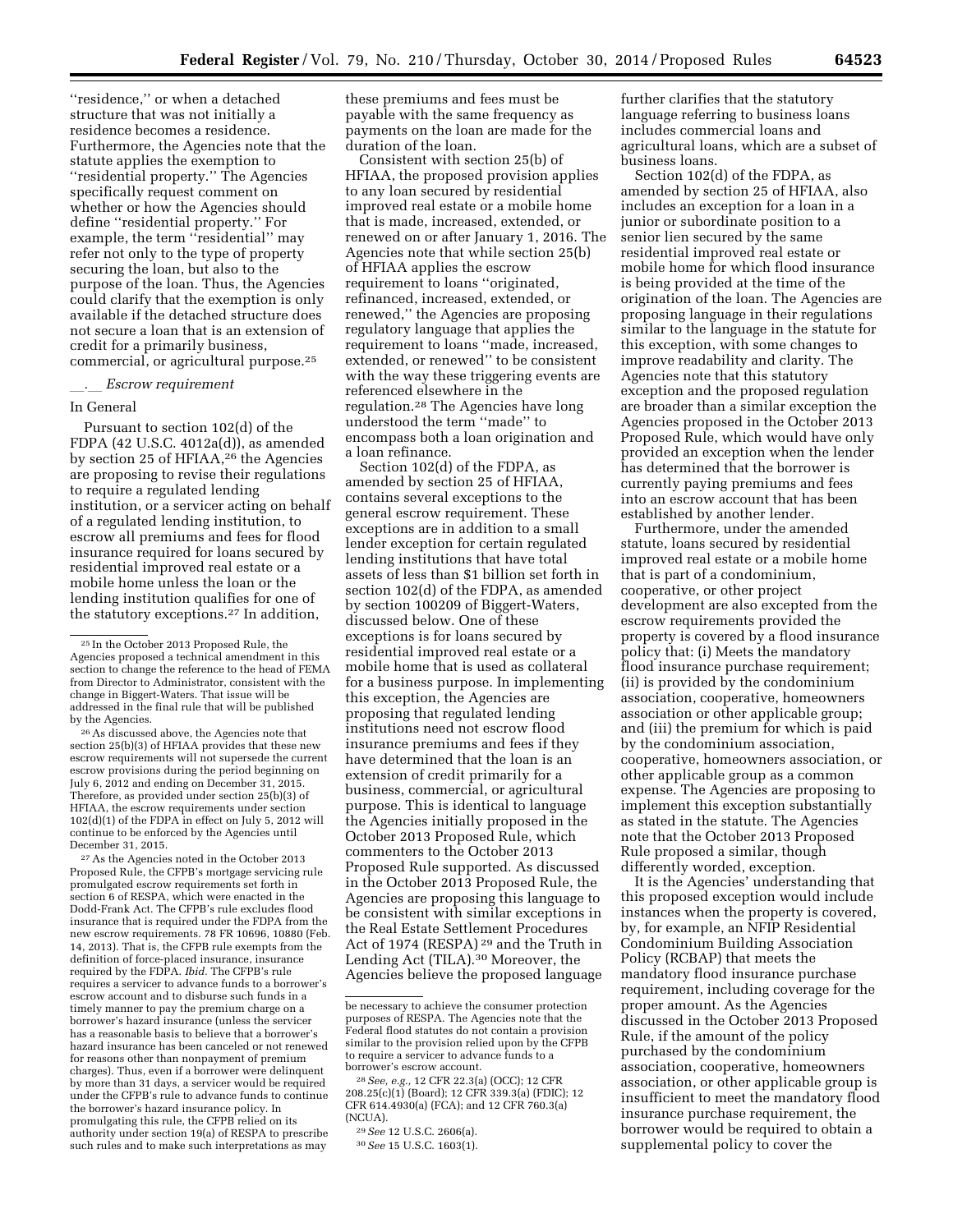''residence,'' or when a detached structure that was not initially a residence becomes a residence. Furthermore, the Agencies note that the statute applies the exemption to ''residential property.'' The Agencies specifically request comment on whether or how the Agencies should define ''residential property.'' For example, the term "residential" may refer not only to the type of property securing the loan, but also to the purpose of the loan. Thus, the Agencies could clarify that the exemption is only available if the detached structure does not secure a loan that is an extension of credit for a primarily business, commercial, or agricultural purpose.25

### l*.*l *Escrow requirement*

## In General

Pursuant to section 102(d) of the FDPA (42 U.S.C. 4012a(d)), as amended by section 25 of HFIAA,26 the Agencies are proposing to revise their regulations to require a regulated lending institution, or a servicer acting on behalf of a regulated lending institution, to escrow all premiums and fees for flood insurance required for loans secured by residential improved real estate or a mobile home unless the loan or the lending institution qualifies for one of the statutory exceptions.27 In addition,

26As discussed above, the Agencies note that section 25(b)(3) of HFIAA provides that these new escrow requirements will not supersede the current escrow provisions during the period beginning on July 6, 2012 and ending on December 31, 2015. Therefore, as provided under section 25(b)(3) of HFIAA, the escrow requirements under section 102(d)(1) of the FDPA in effect on July 5, 2012 will continue to be enforced by the Agencies until December 31, 2015.

27As the Agencies noted in the October 2013 Proposed Rule, the CFPB's mortgage servicing rule promulgated escrow requirements set forth in section 6 of RESPA, which were enacted in the Dodd-Frank Act. The CFPB's rule excludes flood insurance that is required under the FDPA from the new escrow requirements. 78 FR 10696, 10880 (Feb. 14, 2013). That is, the CFPB rule exempts from the definition of force-placed insurance, insurance required by the FDPA. *Ibid.* The CFPB's rule requires a servicer to advance funds to a borrower's escrow account and to disburse such funds in a timely manner to pay the premium charge on a borrower's hazard insurance (unless the servicer has a reasonable basis to believe that a borrower's hazard insurance has been canceled or not renewed for reasons other than nonpayment of premium charges). Thus, even if a borrower were delinquent by more than 31 days, a servicer would be required under the CFPB's rule to advance funds to continue the borrower's hazard insurance policy. In promulgating this rule, the CFPB relied on its authority under section 19(a) of RESPA to prescribe such rules and to make such interpretations as may

these premiums and fees must be payable with the same frequency as payments on the loan are made for the duration of the loan.

Consistent with section 25(b) of HFIAA, the proposed provision applies to any loan secured by residential improved real estate or a mobile home that is made, increased, extended, or renewed on or after January 1, 2016. The Agencies note that while section 25(b) of HFIAA applies the escrow requirement to loans ''originated, refinanced, increased, extended, or renewed,'' the Agencies are proposing regulatory language that applies the requirement to loans ''made, increased, extended, or renewed'' to be consistent with the way these triggering events are referenced elsewhere in the regulation.28 The Agencies have long understood the term ''made'' to encompass both a loan origination and a loan refinance.

Section 102(d) of the FDPA, as amended by section 25 of HFIAA, contains several exceptions to the general escrow requirement. These exceptions are in addition to a small lender exception for certain regulated lending institutions that have total assets of less than \$1 billion set forth in section 102(d) of the FDPA, as amended by section 100209 of Biggert-Waters, discussed below. One of these exceptions is for loans secured by residential improved real estate or a mobile home that is used as collateral for a business purpose. In implementing this exception, the Agencies are proposing that regulated lending institutions need not escrow flood insurance premiums and fees if they have determined that the loan is an extension of credit primarily for a business, commercial, or agricultural purpose. This is identical to language the Agencies initially proposed in the October 2013 Proposed Rule, which commenters to the October 2013 Proposed Rule supported. As discussed in the October 2013 Proposed Rule, the Agencies are proposing this language to be consistent with similar exceptions in the Real Estate Settlement Procedures Act of 1974 (RESPA) 29 and the Truth in Lending Act (TILA).30 Moreover, the Agencies believe the proposed language

further clarifies that the statutory language referring to business loans includes commercial loans and agricultural loans, which are a subset of business loans.

Section 102(d) of the FDPA, as amended by section 25 of HFIAA, also includes an exception for a loan in a junior or subordinate position to a senior lien secured by the same residential improved real estate or mobile home for which flood insurance is being provided at the time of the origination of the loan. The Agencies are proposing language in their regulations similar to the language in the statute for this exception, with some changes to improve readability and clarity. The Agencies note that this statutory exception and the proposed regulation are broader than a similar exception the Agencies proposed in the October 2013 Proposed Rule, which would have only provided an exception when the lender has determined that the borrower is currently paying premiums and fees into an escrow account that has been established by another lender.

Furthermore, under the amended statute, loans secured by residential improved real estate or a mobile home that is part of a condominium, cooperative, or other project development are also excepted from the escrow requirements provided the property is covered by a flood insurance policy that: (i) Meets the mandatory flood insurance purchase requirement; (ii) is provided by the condominium association, cooperative, homeowners association or other applicable group; and (iii) the premium for which is paid by the condominium association, cooperative, homeowners association, or other applicable group as a common expense. The Agencies are proposing to implement this exception substantially as stated in the statute. The Agencies note that the October 2013 Proposed Rule proposed a similar, though differently worded, exception.

It is the Agencies' understanding that this proposed exception would include instances when the property is covered, by, for example, an NFIP Residential Condominium Building Association Policy (RCBAP) that meets the mandatory flood insurance purchase requirement, including coverage for the proper amount. As the Agencies discussed in the October 2013 Proposed Rule, if the amount of the policy purchased by the condominium association, cooperative, homeowners association, or other applicable group is insufficient to meet the mandatory flood insurance purchase requirement, the borrower would be required to obtain a supplemental policy to cover the

<sup>25</sup> In the October 2013 Proposed Rule, the Agencies proposed a technical amendment in this section to change the reference to the head of FEMA from Director to Administrator, consistent with the change in Biggert-Waters. That issue will be addressed in the final rule that will be published by the Agencies.

be necessary to achieve the consumer protection purposes of RESPA. The Agencies note that the Federal flood statutes do not contain a provision similar to the provision relied upon by the CFPB to require a servicer to advance funds to a borrower's escrow account.

<sup>28</sup>*See, e.g.,* 12 CFR 22.3(a) (OCC); 12 CFR 208.25(c)(1) (Board); 12 CFR 339.3(a) (FDIC); 12 CFR 614.4930(a) (FCA); and 12 CFR 760.3(a) (NCUA).

<sup>29</sup>*See* 12 U.S.C. 2606(a).

<sup>30</sup>*See* 15 U.S.C. 1603(1).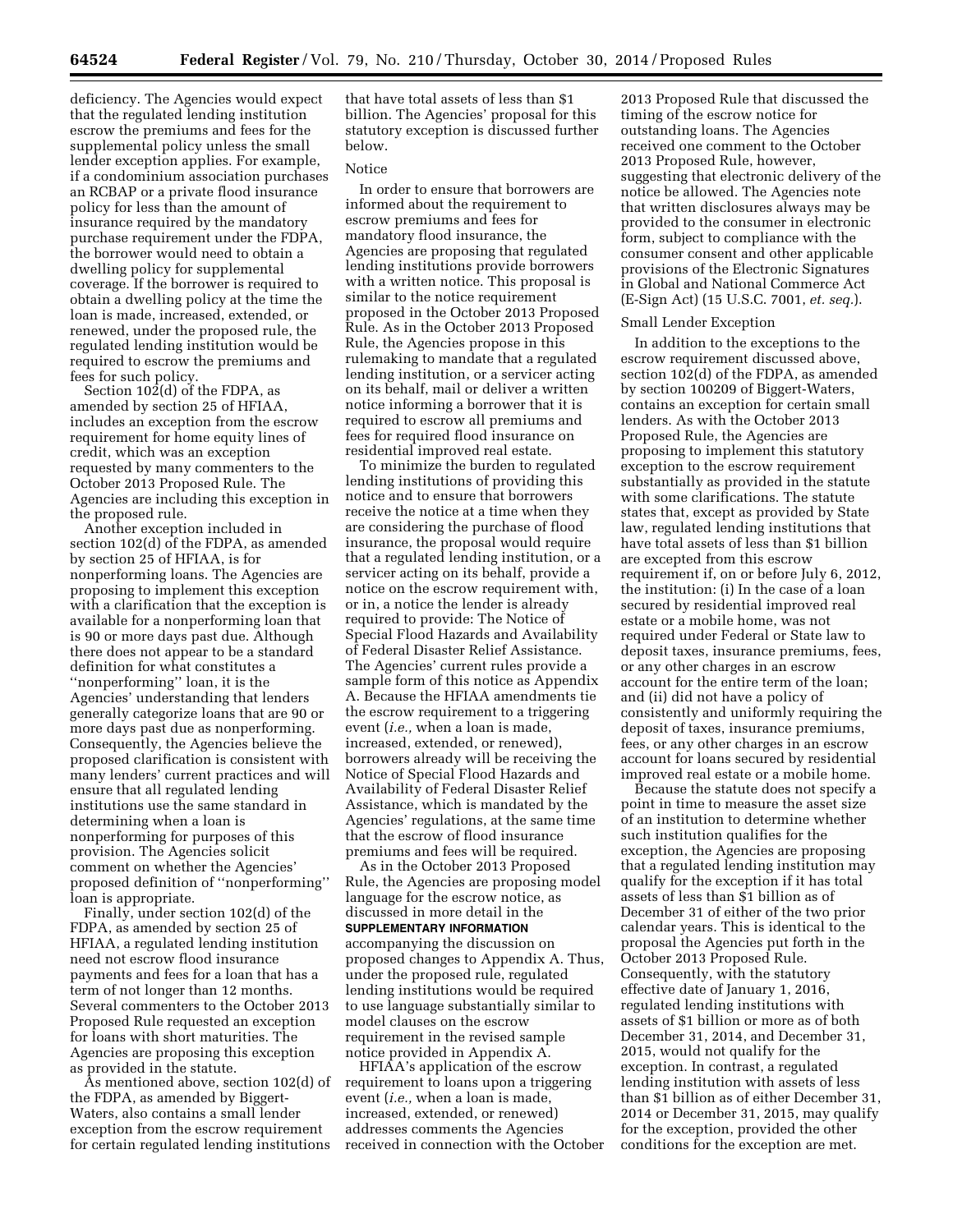deficiency. The Agencies would expect that the regulated lending institution escrow the premiums and fees for the supplemental policy unless the small lender exception applies. For example, if a condominium association purchases an RCBAP or a private flood insurance policy for less than the amount of insurance required by the mandatory purchase requirement under the FDPA, the borrower would need to obtain a dwelling policy for supplemental coverage. If the borrower is required to obtain a dwelling policy at the time the loan is made, increased, extended, or renewed, under the proposed rule, the regulated lending institution would be required to escrow the premiums and fees for such policy.

Section 102(d) of the FDPA, as amended by section 25 of HFIAA, includes an exception from the escrow requirement for home equity lines of credit, which was an exception requested by many commenters to the October 2013 Proposed Rule. The Agencies are including this exception in the proposed rule.

Another exception included in section 102(d) of the FDPA, as amended by section 25 of HFIAA, is for nonperforming loans. The Agencies are proposing to implement this exception with a clarification that the exception is available for a nonperforming loan that is 90 or more days past due. Although there does not appear to be a standard definition for what constitutes a ''nonperforming'' loan, it is the Agencies' understanding that lenders generally categorize loans that are 90 or more days past due as nonperforming. Consequently, the Agencies believe the proposed clarification is consistent with many lenders' current practices and will ensure that all regulated lending institutions use the same standard in determining when a loan is nonperforming for purposes of this provision. The Agencies solicit comment on whether the Agencies' proposed definition of ''nonperforming'' loan is appropriate.

Finally, under section 102(d) of the FDPA, as amended by section 25 of HFIAA, a regulated lending institution need not escrow flood insurance payments and fees for a loan that has a term of not longer than 12 months. Several commenters to the October 2013 Proposed Rule requested an exception for loans with short maturities. The Agencies are proposing this exception as provided in the statute.

As mentioned above, section 102(d) of the FDPA, as amended by Biggert-Waters, also contains a small lender exception from the escrow requirement for certain regulated lending institutions that have total assets of less than \$1 billion. The Agencies' proposal for this statutory exception is discussed further below.

#### Notice

In order to ensure that borrowers are informed about the requirement to escrow premiums and fees for mandatory flood insurance, the Agencies are proposing that regulated lending institutions provide borrowers with a written notice. This proposal is similar to the notice requirement proposed in the October 2013 Proposed Rule. As in the October 2013 Proposed Rule, the Agencies propose in this rulemaking to mandate that a regulated lending institution, or a servicer acting on its behalf, mail or deliver a written notice informing a borrower that it is required to escrow all premiums and fees for required flood insurance on residential improved real estate.

To minimize the burden to regulated lending institutions of providing this notice and to ensure that borrowers receive the notice at a time when they are considering the purchase of flood insurance, the proposal would require that a regulated lending institution, or a servicer acting on its behalf, provide a notice on the escrow requirement with, or in, a notice the lender is already required to provide: The Notice of Special Flood Hazards and Availability of Federal Disaster Relief Assistance. The Agencies' current rules provide a sample form of this notice as Appendix A. Because the HFIAA amendments tie the escrow requirement to a triggering event (*i.e.,* when a loan is made, increased, extended, or renewed), borrowers already will be receiving the Notice of Special Flood Hazards and Availability of Federal Disaster Relief Assistance, which is mandated by the Agencies' regulations, at the same time that the escrow of flood insurance premiums and fees will be required.

As in the October 2013 Proposed Rule, the Agencies are proposing model language for the escrow notice, as discussed in more detail in the **SUPPLEMENTARY INFORMATION** accompanying the discussion on proposed changes to Appendix A. Thus, under the proposed rule, regulated lending institutions would be required to use language substantially similar to model clauses on the escrow requirement in the revised sample notice provided in Appendix A.

HFIAA's application of the escrow requirement to loans upon a triggering event (*i.e.,* when a loan is made, increased, extended, or renewed) addresses comments the Agencies received in connection with the October

2013 Proposed Rule that discussed the timing of the escrow notice for outstanding loans. The Agencies received one comment to the October 2013 Proposed Rule, however, suggesting that electronic delivery of the notice be allowed. The Agencies note that written disclosures always may be provided to the consumer in electronic form, subject to compliance with the consumer consent and other applicable provisions of the Electronic Signatures in Global and National Commerce Act (E-Sign Act) (15 U.S.C. 7001, *et. seq.*).

## Small Lender Exception

In addition to the exceptions to the escrow requirement discussed above, section 102(d) of the FDPA, as amended by section 100209 of Biggert-Waters, contains an exception for certain small lenders. As with the October 2013 Proposed Rule, the Agencies are proposing to implement this statutory exception to the escrow requirement substantially as provided in the statute with some clarifications. The statute states that, except as provided by State law, regulated lending institutions that have total assets of less than \$1 billion are excepted from this escrow requirement if, on or before July 6, 2012, the institution: (i) In the case of a loan secured by residential improved real estate or a mobile home, was not required under Federal or State law to deposit taxes, insurance premiums, fees, or any other charges in an escrow account for the entire term of the loan; and (ii) did not have a policy of consistently and uniformly requiring the deposit of taxes, insurance premiums, fees, or any other charges in an escrow account for loans secured by residential improved real estate or a mobile home.

Because the statute does not specify a point in time to measure the asset size of an institution to determine whether such institution qualifies for the exception, the Agencies are proposing that a regulated lending institution may qualify for the exception if it has total assets of less than \$1 billion as of December 31 of either of the two prior calendar years. This is identical to the proposal the Agencies put forth in the October 2013 Proposed Rule. Consequently, with the statutory effective date of January 1, 2016, regulated lending institutions with assets of \$1 billion or more as of both December 31, 2014, and December 31, 2015, would not qualify for the exception. In contrast, a regulated lending institution with assets of less than \$1 billion as of either December 31, 2014 or December 31, 2015, may qualify for the exception, provided the other conditions for the exception are met.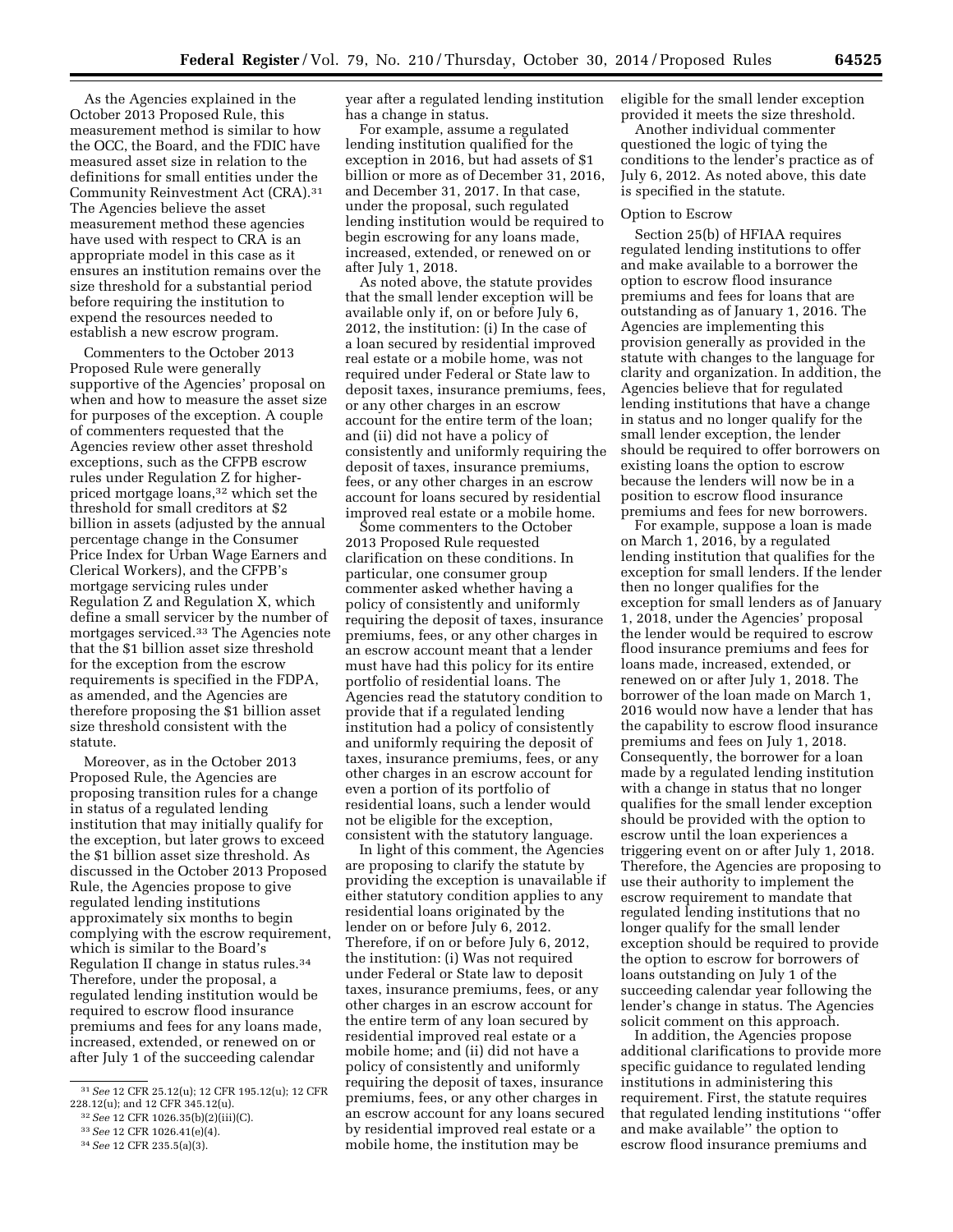As the Agencies explained in the October 2013 Proposed Rule, this measurement method is similar to how the OCC, the Board, and the FDIC have measured asset size in relation to the definitions for small entities under the Community Reinvestment Act (CRA).31 The Agencies believe the asset measurement method these agencies have used with respect to CRA is an appropriate model in this case as it ensures an institution remains over the size threshold for a substantial period before requiring the institution to expend the resources needed to

establish a new escrow program.

Commenters to the October 2013 Proposed Rule were generally supportive of the Agencies' proposal on when and how to measure the asset size for purposes of the exception. A couple of commenters requested that the Agencies review other asset threshold exceptions, such as the CFPB escrow rules under Regulation Z for higherpriced mortgage loans,32 which set the threshold for small creditors at \$2 billion in assets (adjusted by the annual percentage change in the Consumer Price Index for Urban Wage Earners and Clerical Workers), and the CFPB's mortgage servicing rules under Regulation Z and Regulation X, which define a small servicer by the number of mortgages serviced.33 The Agencies note that the \$1 billion asset size threshold for the exception from the escrow requirements is specified in the FDPA, as amended, and the Agencies are therefore proposing the \$1 billion asset size threshold consistent with the statute.

Moreover, as in the October 2013 Proposed Rule, the Agencies are proposing transition rules for a change in status of a regulated lending institution that may initially qualify for the exception, but later grows to exceed the \$1 billion asset size threshold. As discussed in the October 2013 Proposed Rule, the Agencies propose to give regulated lending institutions approximately six months to begin complying with the escrow requirement, which is similar to the Board's Regulation II change in status rules.34 Therefore, under the proposal, a regulated lending institution would be required to escrow flood insurance premiums and fees for any loans made, increased, extended, or renewed on or after July 1 of the succeeding calendar

year after a regulated lending institution has a change in status.

For example, assume a regulated lending institution qualified for the exception in 2016, but had assets of \$1 billion or more as of December 31, 2016, and December 31, 2017. In that case, under the proposal, such regulated lending institution would be required to begin escrowing for any loans made, increased, extended, or renewed on or after July 1, 2018.

As noted above, the statute provides that the small lender exception will be available only if, on or before July 6, 2012, the institution: (i) In the case of a loan secured by residential improved real estate or a mobile home, was not required under Federal or State law to deposit taxes, insurance premiums, fees, or any other charges in an escrow account for the entire term of the loan; and (ii) did not have a policy of consistently and uniformly requiring the deposit of taxes, insurance premiums, fees, or any other charges in an escrow account for loans secured by residential improved real estate or a mobile home.

Some commenters to the October 2013 Proposed Rule requested clarification on these conditions. In particular, one consumer group commenter asked whether having a policy of consistently and uniformly requiring the deposit of taxes, insurance premiums, fees, or any other charges in an escrow account meant that a lender must have had this policy for its entire portfolio of residential loans. The Agencies read the statutory condition to provide that if a regulated lending institution had a policy of consistently and uniformly requiring the deposit of taxes, insurance premiums, fees, or any other charges in an escrow account for even a portion of its portfolio of residential loans, such a lender would not be eligible for the exception, consistent with the statutory language.

In light of this comment, the Agencies are proposing to clarify the statute by providing the exception is unavailable if either statutory condition applies to any residential loans originated by the lender on or before July 6, 2012. Therefore, if on or before July 6, 2012, the institution: (i) Was not required under Federal or State law to deposit taxes, insurance premiums, fees, or any other charges in an escrow account for the entire term of any loan secured by residential improved real estate or a mobile home; and (ii) did not have a policy of consistently and uniformly requiring the deposit of taxes, insurance premiums, fees, or any other charges in an escrow account for any loans secured by residential improved real estate or a mobile home, the institution may be

eligible for the small lender exception provided it meets the size threshold.

Another individual commenter questioned the logic of tying the conditions to the lender's practice as of July 6, 2012. As noted above, this date is specified in the statute.

## Option to Escrow

Section 25(b) of HFIAA requires regulated lending institutions to offer and make available to a borrower the option to escrow flood insurance premiums and fees for loans that are outstanding as of January 1, 2016. The Agencies are implementing this provision generally as provided in the statute with changes to the language for clarity and organization. In addition, the Agencies believe that for regulated lending institutions that have a change in status and no longer qualify for the small lender exception, the lender should be required to offer borrowers on existing loans the option to escrow because the lenders will now be in a position to escrow flood insurance premiums and fees for new borrowers.

For example, suppose a loan is made on March 1, 2016, by a regulated lending institution that qualifies for the exception for small lenders. If the lender then no longer qualifies for the exception for small lenders as of January 1, 2018, under the Agencies' proposal the lender would be required to escrow flood insurance premiums and fees for loans made, increased, extended, or renewed on or after July 1, 2018. The borrower of the loan made on March 1, 2016 would now have a lender that has the capability to escrow flood insurance premiums and fees on July 1, 2018. Consequently, the borrower for a loan made by a regulated lending institution with a change in status that no longer qualifies for the small lender exception should be provided with the option to escrow until the loan experiences a triggering event on or after July 1, 2018. Therefore, the Agencies are proposing to use their authority to implement the escrow requirement to mandate that regulated lending institutions that no longer qualify for the small lender exception should be required to provide the option to escrow for borrowers of loans outstanding on July 1 of the succeeding calendar year following the lender's change in status. The Agencies solicit comment on this approach.

In addition, the Agencies propose additional clarifications to provide more specific guidance to regulated lending institutions in administering this requirement. First, the statute requires that regulated lending institutions ''offer and make available'' the option to escrow flood insurance premiums and

<sup>31</sup>*See* 12 CFR 25.12(u); 12 CFR 195.12(u); 12 CFR 228.12(u); and 12 CFR 345.12(u).

<sup>32</sup>*See* 12 CFR 1026.35(b)(2)(iii)(C).

<sup>33</sup>*See* 12 CFR 1026.41(e)(4).

<sup>34</sup>*See* 12 CFR 235.5(a)(3).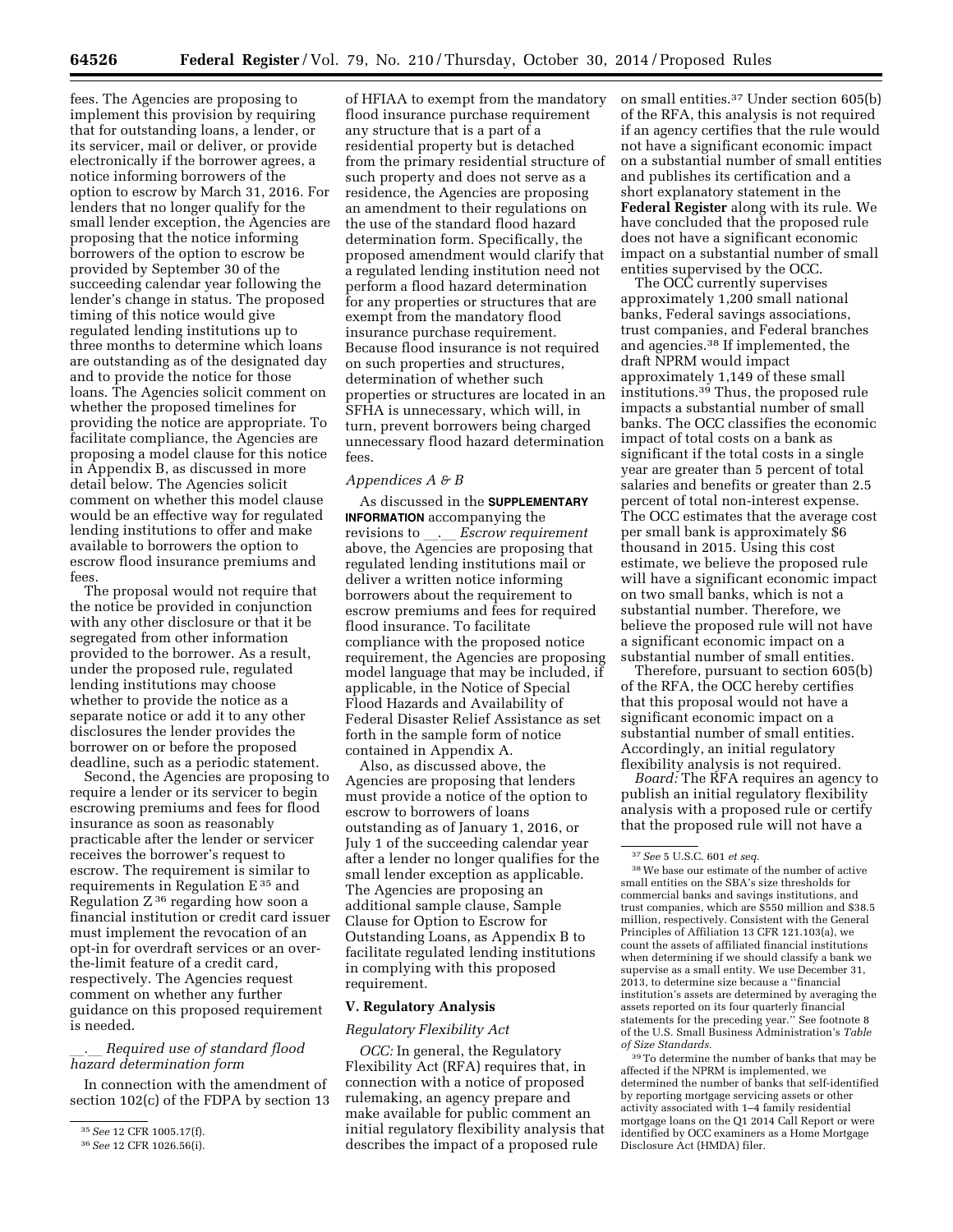fees. The Agencies are proposing to implement this provision by requiring that for outstanding loans, a lender, or its servicer, mail or deliver, or provide electronically if the borrower agrees, a notice informing borrowers of the option to escrow by March 31, 2016. For lenders that no longer qualify for the small lender exception, the Agencies are proposing that the notice informing borrowers of the option to escrow be provided by September 30 of the succeeding calendar year following the lender's change in status. The proposed timing of this notice would give regulated lending institutions up to three months to determine which loans are outstanding as of the designated day and to provide the notice for those loans. The Agencies solicit comment on whether the proposed timelines for providing the notice are appropriate. To facilitate compliance, the Agencies are proposing a model clause for this notice in Appendix B, as discussed in more detail below. The Agencies solicit comment on whether this model clause would be an effective way for regulated lending institutions to offer and make available to borrowers the option to escrow flood insurance premiums and fees.

The proposal would not require that the notice be provided in conjunction with any other disclosure or that it be segregated from other information provided to the borrower. As a result, under the proposed rule, regulated lending institutions may choose whether to provide the notice as a separate notice or add it to any other disclosures the lender provides the borrower on or before the proposed deadline, such as a periodic statement.

Second, the Agencies are proposing to require a lender or its servicer to begin escrowing premiums and fees for flood insurance as soon as reasonably practicable after the lender or servicer receives the borrower's request to escrow. The requirement is similar to requirements in Regulation  $E^{35}$  and Regulation  $Z^{36}$  regarding how soon a financial institution or credit card issuer must implement the revocation of an opt-in for overdraft services or an overthe-limit feature of a credit card, respectively. The Agencies request comment on whether any further guidance on this proposed requirement is needed.

# l*.*l *Required use of standard flood hazard determination form*

In connection with the amendment of section 102(c) of the FDPA by section 13

of HFIAA to exempt from the mandatory flood insurance purchase requirement any structure that is a part of a residential property but is detached from the primary residential structure of such property and does not serve as a residence, the Agencies are proposing an amendment to their regulations on the use of the standard flood hazard determination form. Specifically, the proposed amendment would clarify that a regulated lending institution need not perform a flood hazard determination for any properties or structures that are exempt from the mandatory flood insurance purchase requirement. Because flood insurance is not required on such properties and structures, determination of whether such properties or structures are located in an SFHA is unnecessary, which will, in turn, prevent borrowers being charged unnecessary flood hazard determination fees.

## *Appendices A & B*

As discussed in the **SUPPLEMENTARY INFORMATION** accompanying the revisions to . *Escrow requirement* above, the Agencies are proposing that regulated lending institutions mail or deliver a written notice informing borrowers about the requirement to escrow premiums and fees for required flood insurance. To facilitate compliance with the proposed notice requirement, the Agencies are proposing model language that may be included, if applicable, in the Notice of Special Flood Hazards and Availability of Federal Disaster Relief Assistance as set forth in the sample form of notice contained in Appendix A.

Also, as discussed above, the Agencies are proposing that lenders must provide a notice of the option to escrow to borrowers of loans outstanding as of January 1, 2016, or July 1 of the succeeding calendar year after a lender no longer qualifies for the small lender exception as applicable. The Agencies are proposing an additional sample clause, Sample Clause for Option to Escrow for Outstanding Loans, as Appendix B to facilitate regulated lending institutions in complying with this proposed requirement.

### **V. Regulatory Analysis**

#### *Regulatory Flexibility Act*

*OCC:* In general, the Regulatory Flexibility Act (RFA) requires that, in connection with a notice of proposed rulemaking, an agency prepare and make available for public comment an initial regulatory flexibility analysis that describes the impact of a proposed rule

on small entities.37 Under section 605(b) of the RFA, this analysis is not required if an agency certifies that the rule would not have a significant economic impact on a substantial number of small entities and publishes its certification and a short explanatory statement in the **Federal Register** along with its rule. We have concluded that the proposed rule does not have a significant economic impact on a substantial number of small entities supervised by the OCC.

The OCC currently supervises approximately 1,200 small national banks, Federal savings associations, trust companies, and Federal branches and agencies.38 If implemented, the draft NPRM would impact approximately 1,149 of these small institutions.39 Thus, the proposed rule impacts a substantial number of small banks. The OCC classifies the economic impact of total costs on a bank as significant if the total costs in a single year are greater than 5 percent of total salaries and benefits or greater than 2.5 percent of total non-interest expense. The OCC estimates that the average cost per small bank is approximately \$6 thousand in 2015. Using this cost estimate, we believe the proposed rule will have a significant economic impact on two small banks, which is not a substantial number. Therefore, we believe the proposed rule will not have a significant economic impact on a substantial number of small entities.

Therefore, pursuant to section 605(b) of the RFA, the OCC hereby certifies that this proposal would not have a significant economic impact on a substantial number of small entities. Accordingly, an initial regulatory flexibility analysis is not required.

*Board:* The RFA requires an agency to publish an initial regulatory flexibility analysis with a proposed rule or certify that the proposed rule will not have a

39To determine the number of banks that may be affected if the NPRM is implemented, we determined the number of banks that self-identified by reporting mortgage servicing assets or other activity associated with 1–4 family residential mortgage loans on the Q1 2014 Call Report or were identified by OCC examiners as a Home Mortgage Disclosure Act (HMDA) filer.

<sup>35</sup>*See* 12 CFR 1005.17(f).

<sup>36</sup>*See* 12 CFR 1026.56(i).

<sup>37</sup>*See* 5 U.S.C. 601 *et seq.* 

<sup>38</sup>We base our estimate of the number of active small entities on the SBA's size thresholds for commercial banks and savings institutions, and trust companies, which are \$550 million and \$38.5 million, respectively. Consistent with the General Principles of Affiliation 13 CFR 121.103(a), we count the assets of affiliated financial institutions when determining if we should classify a bank we supervise as a small entity. We use December 31, 2013, to determine size because a ''financial institution's assets are determined by averaging the assets reported on its four quarterly financial statements for the preceding year.'' See footnote 8 of the U.S. Small Business Administration's *Table of Size Standards.*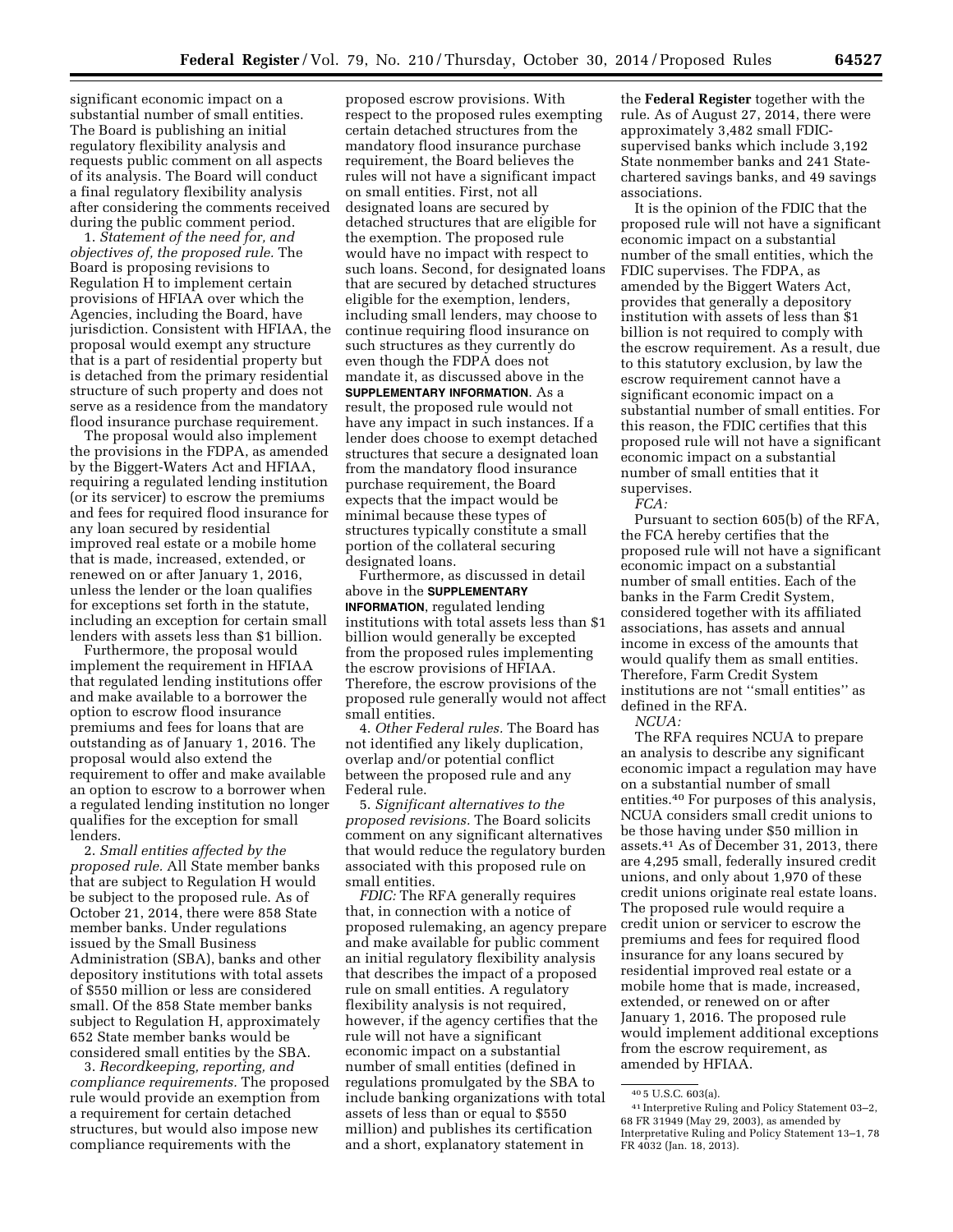significant economic impact on a substantial number of small entities. The Board is publishing an initial regulatory flexibility analysis and requests public comment on all aspects of its analysis. The Board will conduct a final regulatory flexibility analysis after considering the comments received during the public comment period.

1. *Statement of the need for, and objectives of, the proposed rule.* The Board is proposing revisions to Regulation H to implement certain provisions of HFIAA over which the Agencies, including the Board, have jurisdiction. Consistent with HFIAA, the proposal would exempt any structure that is a part of residential property but is detached from the primary residential structure of such property and does not serve as a residence from the mandatory flood insurance purchase requirement.

The proposal would also implement the provisions in the FDPA, as amended by the Biggert-Waters Act and HFIAA, requiring a regulated lending institution (or its servicer) to escrow the premiums and fees for required flood insurance for any loan secured by residential improved real estate or a mobile home that is made, increased, extended, or renewed on or after January 1, 2016, unless the lender or the loan qualifies for exceptions set forth in the statute, including an exception for certain small lenders with assets less than \$1 billion.

Furthermore, the proposal would implement the requirement in HFIAA that regulated lending institutions offer and make available to a borrower the option to escrow flood insurance premiums and fees for loans that are outstanding as of January 1, 2016. The proposal would also extend the requirement to offer and make available an option to escrow to a borrower when a regulated lending institution no longer qualifies for the exception for small lenders.

2. *Small entities affected by the proposed rule.* All State member banks that are subject to Regulation H would be subject to the proposed rule. As of October 21, 2014, there were 858 State member banks. Under regulations issued by the Small Business Administration (SBA), banks and other depository institutions with total assets of \$550 million or less are considered small. Of the 858 State member banks subject to Regulation H, approximately 652 State member banks would be considered small entities by the SBA.

3. *Recordkeeping, reporting, and compliance requirements.* The proposed rule would provide an exemption from a requirement for certain detached structures, but would also impose new compliance requirements with the

proposed escrow provisions. With respect to the proposed rules exempting certain detached structures from the mandatory flood insurance purchase requirement, the Board believes the rules will not have a significant impact on small entities. First, not all designated loans are secured by detached structures that are eligible for the exemption. The proposed rule would have no impact with respect to such loans. Second, for designated loans that are secured by detached structures eligible for the exemption, lenders, including small lenders, may choose to continue requiring flood insurance on such structures as they currently do even though the FDPA does not mandate it, as discussed above in the **SUPPLEMENTARY INFORMATION**. As a result, the proposed rule would not have any impact in such instances. If a lender does choose to exempt detached structures that secure a designated loan from the mandatory flood insurance purchase requirement, the Board expects that the impact would be minimal because these types of structures typically constitute a small portion of the collateral securing designated loans.

Furthermore, as discussed in detail above in the **SUPPLEMENTARY INFORMATION**, regulated lending institutions with total assets less than \$1 billion would generally be excepted from the proposed rules implementing the escrow provisions of HFIAA. Therefore, the escrow provisions of the proposed rule generally would not affect small entities.

4. *Other Federal rules.* The Board has not identified any likely duplication, overlap and/or potential conflict between the proposed rule and any Federal rule.

5. *Significant alternatives to the proposed revisions.* The Board solicits comment on any significant alternatives that would reduce the regulatory burden associated with this proposed rule on small entities.

*FDIC:* The RFA generally requires that, in connection with a notice of proposed rulemaking, an agency prepare and make available for public comment an initial regulatory flexibility analysis that describes the impact of a proposed rule on small entities. A regulatory flexibility analysis is not required, however, if the agency certifies that the rule will not have a significant economic impact on a substantial number of small entities (defined in regulations promulgated by the SBA to include banking organizations with total assets of less than or equal to \$550 million) and publishes its certification and a short, explanatory statement in

the **Federal Register** together with the rule. As of August 27, 2014, there were approximately 3,482 small FDICsupervised banks which include 3,192 State nonmember banks and 241 Statechartered savings banks, and 49 savings associations.

It is the opinion of the FDIC that the proposed rule will not have a significant economic impact on a substantial number of the small entities, which the FDIC supervises. The FDPA, as amended by the Biggert Waters Act, provides that generally a depository institution with assets of less than \$1 billion is not required to comply with the escrow requirement. As a result, due to this statutory exclusion, by law the escrow requirement cannot have a significant economic impact on a substantial number of small entities. For this reason, the FDIC certifies that this proposed rule will not have a significant economic impact on a substantial number of small entities that it supervises.

*FCA:* 

Pursuant to section 605(b) of the RFA, the FCA hereby certifies that the proposed rule will not have a significant economic impact on a substantial number of small entities. Each of the banks in the Farm Credit System, considered together with its affiliated associations, has assets and annual income in excess of the amounts that would qualify them as small entities. Therefore, Farm Credit System institutions are not ''small entities'' as defined in the RFA.

*NCUA:* 

The RFA requires NCUA to prepare an analysis to describe any significant economic impact a regulation may have on a substantial number of small entities.40 For purposes of this analysis, NCUA considers small credit unions to be those having under \$50 million in assets.41 As of December 31, 2013, there are 4,295 small, federally insured credit unions, and only about 1,970 of these credit unions originate real estate loans. The proposed rule would require a credit union or servicer to escrow the premiums and fees for required flood insurance for any loans secured by residential improved real estate or a mobile home that is made, increased, extended, or renewed on or after January 1, 2016. The proposed rule would implement additional exceptions from the escrow requirement, as amended by HFIAA.

<sup>40</sup> 5 U.S.C. 603(a).

<sup>41</sup> Interpretive Ruling and Policy Statement 03–2, 68 FR 31949 (May 29, 2003), as amended by Interpretative Ruling and Policy Statement 13–1, 78 FR 4032 (Jan. 18, 2013).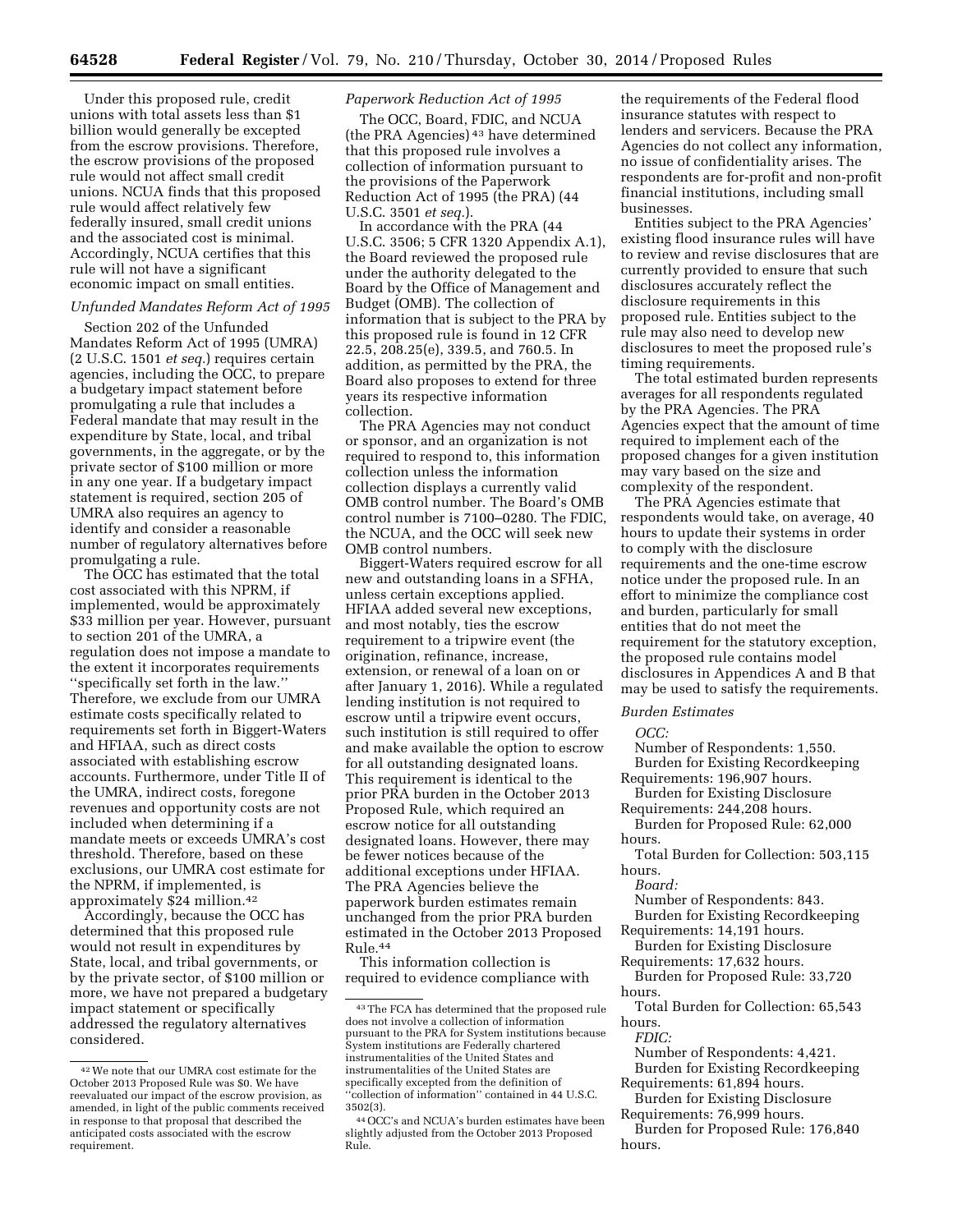Under this proposed rule, credit unions with total assets less than \$1 billion would generally be excepted from the escrow provisions. Therefore, the escrow provisions of the proposed rule would not affect small credit unions. NCUA finds that this proposed rule would affect relatively few federally insured, small credit unions and the associated cost is minimal. Accordingly, NCUA certifies that this rule will not have a significant economic impact on small entities.

## *Unfunded Mandates Reform Act of 1995*

Section 202 of the Unfunded Mandates Reform Act of 1995 (UMRA) (2 U.S.C. 1501 *et seq.*) requires certain agencies, including the OCC, to prepare a budgetary impact statement before promulgating a rule that includes a Federal mandate that may result in the expenditure by State, local, and tribal governments, in the aggregate, or by the private sector of \$100 million or more in any one year. If a budgetary impact statement is required, section 205 of UMRA also requires an agency to identify and consider a reasonable number of regulatory alternatives before promulgating a rule.

The OCC has estimated that the total cost associated with this NPRM, if implemented, would be approximately \$33 million per year. However, pursuant to section 201 of the UMRA, a regulation does not impose a mandate to the extent it incorporates requirements ''specifically set forth in the law.'' Therefore, we exclude from our UMRA estimate costs specifically related to requirements set forth in Biggert-Waters and HFIAA, such as direct costs associated with establishing escrow accounts. Furthermore, under Title II of the UMRA, indirect costs, foregone revenues and opportunity costs are not included when determining if a mandate meets or exceeds UMRA's cost threshold. Therefore, based on these exclusions, our UMRA cost estimate for the NPRM, if implemented, is approximately \$24 million.42

Accordingly, because the OCC has determined that this proposed rule would not result in expenditures by State, local, and tribal governments, or by the private sector, of \$100 million or more, we have not prepared a budgetary impact statement or specifically addressed the regulatory alternatives considered.

## *Paperwork Reduction Act of 1995*

The OCC, Board, FDIC, and NCUA (the PRA Agencies) 43 have determined that this proposed rule involves a collection of information pursuant to the provisions of the Paperwork Reduction Act of 1995 (the PRA) (44 U.S.C. 3501 *et seq.*).

In accordance with the PRA (44 U.S.C. 3506; 5 CFR 1320 Appendix A.1), the Board reviewed the proposed rule under the authority delegated to the Board by the Office of Management and Budget (OMB). The collection of information that is subject to the PRA by this proposed rule is found in 12 CFR 22.5, 208.25(e), 339.5, and 760.5. In addition, as permitted by the PRA, the Board also proposes to extend for three years its respective information collection.

The PRA Agencies may not conduct or sponsor, and an organization is not required to respond to, this information collection unless the information collection displays a currently valid OMB control number. The Board's OMB control number is 7100–0280. The FDIC, the NCUA, and the OCC will seek new OMB control numbers.

Biggert-Waters required escrow for all new and outstanding loans in a SFHA, unless certain exceptions applied. HFIAA added several new exceptions, and most notably, ties the escrow requirement to a tripwire event (the origination, refinance, increase, extension, or renewal of a loan on or after January 1, 2016). While a regulated lending institution is not required to escrow until a tripwire event occurs, such institution is still required to offer and make available the option to escrow for all outstanding designated loans. This requirement is identical to the prior PRA burden in the October 2013 Proposed Rule, which required an escrow notice for all outstanding designated loans. However, there may be fewer notices because of the additional exceptions under HFIAA. The PRA Agencies believe the paperwork burden estimates remain unchanged from the prior PRA burden estimated in the October 2013 Proposed Rule.44

This information collection is required to evidence compliance with

the requirements of the Federal flood insurance statutes with respect to lenders and servicers. Because the PRA Agencies do not collect any information, no issue of confidentiality arises. The respondents are for-profit and non-profit financial institutions, including small businesses.

Entities subject to the PRA Agencies' existing flood insurance rules will have to review and revise disclosures that are currently provided to ensure that such disclosures accurately reflect the disclosure requirements in this proposed rule. Entities subject to the rule may also need to develop new disclosures to meet the proposed rule's timing requirements.

The total estimated burden represents averages for all respondents regulated by the PRA Agencies. The PRA Agencies expect that the amount of time required to implement each of the proposed changes for a given institution may vary based on the size and complexity of the respondent.

The PRA Agencies estimate that respondents would take, on average, 40 hours to update their systems in order to comply with the disclosure requirements and the one-time escrow notice under the proposed rule. In an effort to minimize the compliance cost and burden, particularly for small entities that do not meet the requirement for the statutory exception, the proposed rule contains model disclosures in Appendices A and B that may be used to satisfy the requirements.

## *Burden Estimates*

#### *OCC:*

Number of Respondents: 1,550. Burden for Existing Recordkeeping

Requirements: 196,907 hours. Burden for Existing Disclosure

Requirements: 244,208 hours.

Burden for Proposed Rule: 62,000 hours.

Total Burden for Collection: 503,115 hours.

*Board:* 

Number of Respondents: 843. Burden for Existing Recordkeeping

Requirements: 14,191 hours.

Burden for Existing Disclosure

Requirements: 17,632 hours. Burden for Proposed Rule: 33,720 hours.

Total Burden for Collection: 65,543 hours.

*FDIC:* 

Number of Respondents: 4,421. Burden for Existing Recordkeeping Requirements: 61,894 hours.

Burden for Existing Disclosure

Requirements: 76,999 hours. Burden for Proposed Rule: 176,840 hours.

<sup>42</sup>We note that our UMRA cost estimate for the October 2013 Proposed Rule was \$0. We have reevaluated our impact of the escrow provision, as amended, in light of the public comments received in response to that proposal that described the anticipated costs associated with the escrow requirement.

<sup>43</sup>The FCA has determined that the proposed rule does not involve a collection of information pursuant to the PRA for System institutions because System institutions are Federally chartered instrumentalities of the United States and instrumentalities of the United States are specifically excepted from the definition of ''collection of information'' contained in 44 U.S.C. 3502(3).

<sup>44</sup>OCC's and NCUA's burden estimates have been slightly adjusted from the October 2013 Proposed Rule.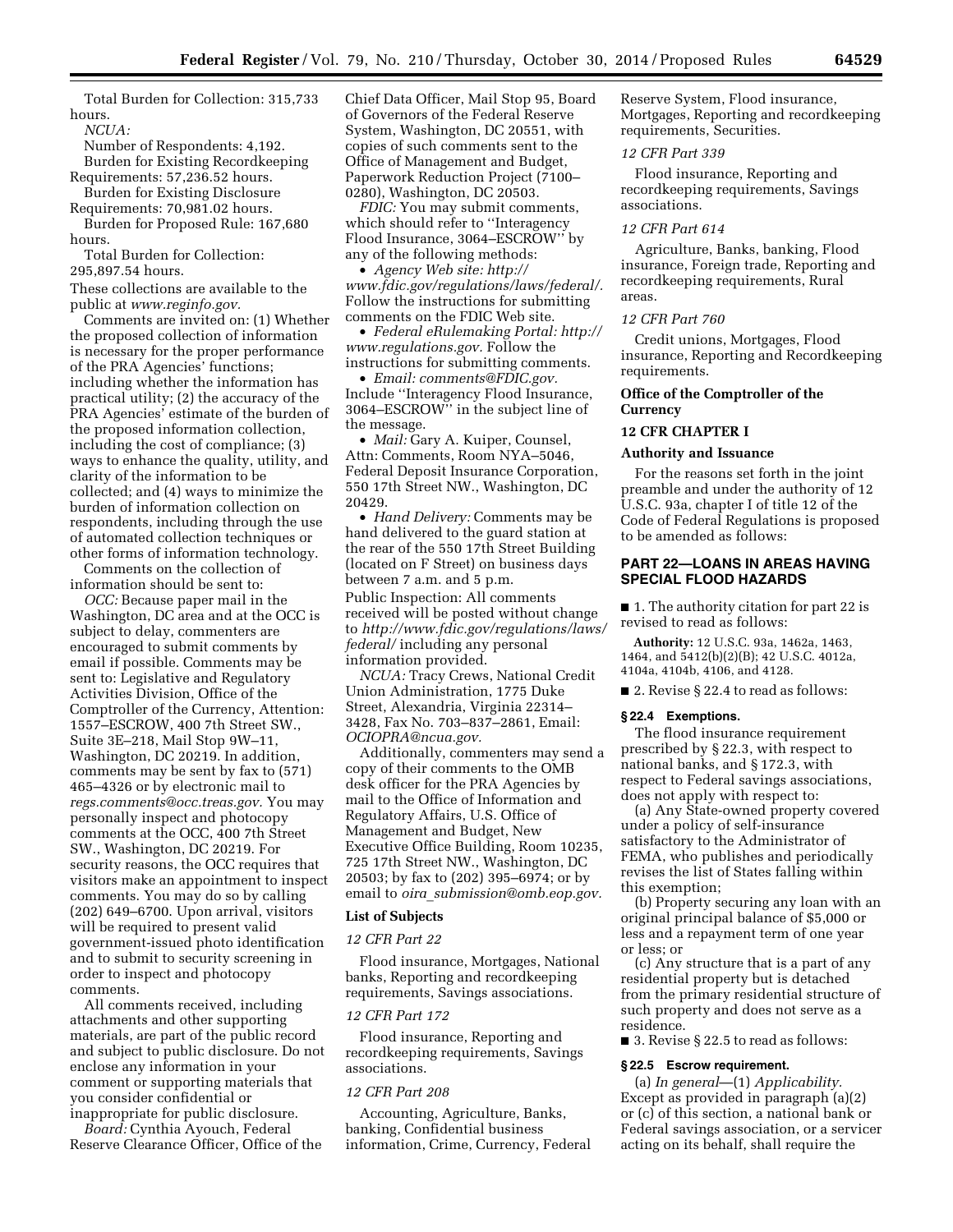Total Burden for Collection: 315,733 hours.

*NCUA:* 

Number of Respondents: 4,192. Burden for Existing Recordkeeping Requirements: 57,236.52 hours.

Burden for Existing Disclosure Requirements: 70,981.02 hours.

Burden for Proposed Rule: 167,680 hours.

Total Burden for Collection: 295,897.54 hours.

These collections are available to the public at *[www.reginfo.gov.](http://www.reginfo.gov)* 

Comments are invited on: (1) Whether the proposed collection of information is necessary for the proper performance of the PRA Agencies' functions; including whether the information has practical utility; (2) the accuracy of the PRA Agencies' estimate of the burden of the proposed information collection, including the cost of compliance; (3) ways to enhance the quality, utility, and clarity of the information to be collected; and (4) ways to minimize the burden of information collection on respondents, including through the use of automated collection techniques or other forms of information technology.

Comments on the collection of information should be sent to:

*OCC:* Because paper mail in the Washington, DC area and at the OCC is subject to delay, commenters are encouraged to submit comments by email if possible. Comments may be sent to: Legislative and Regulatory Activities Division, Office of the Comptroller of the Currency, Attention: 1557–ESCROW, 400 7th Street SW., Suite 3E–218, Mail Stop 9W–11, Washington, DC 20219. In addition, comments may be sent by fax to (571) 465–4326 or by electronic mail to *[regs.comments@occ.treas.gov.](mailto:regs.comments@occ.treas.gov)* You may personally inspect and photocopy comments at the OCC, 400 7th Street SW., Washington, DC 20219. For security reasons, the OCC requires that visitors make an appointment to inspect comments. You may do so by calling (202) 649–6700. Upon arrival, visitors will be required to present valid government-issued photo identification and to submit to security screening in order to inspect and photocopy comments.

All comments received, including attachments and other supporting materials, are part of the public record and subject to public disclosure. Do not enclose any information in your comment or supporting materials that you consider confidential or inappropriate for public disclosure.

*Board:* Cynthia Ayouch, Federal Reserve Clearance Officer, Office of the Chief Data Officer, Mail Stop 95, Board of Governors of the Federal Reserve System, Washington, DC 20551, with copies of such comments sent to the Office of Management and Budget, Paperwork Reduction Project (7100– 0280), Washington, DC 20503.

*FDIC:* You may submit comments, which should refer to ''Interagency Flood Insurance, 3064–ESCROW'' by any of the following methods:

• *Agency Web site: [http://](http://www.fdic.gov/regulations/laws/federal/) [www.fdic.gov/regulations/laws/federal/.](http://www.fdic.gov/regulations/laws/federal/)*  Follow the instructions for submitting comments on the FDIC Web site.

• *Federal eRulemaking Portal: [http://](http://www.regulations.gov)  [www.regulations.gov.](http://www.regulations.gov)* Follow the instructions for submitting comments.

• *Email: [comments@FDIC.gov.](mailto:comments@FDIC.gov)*  Include ''Interagency Flood Insurance, 3064–ESCROW'' in the subject line of the message.

• *Mail:* Gary A. Kuiper, Counsel, Attn: Comments, Room NYA–5046, Federal Deposit Insurance Corporation, 550 17th Street NW., Washington, DC 20429.

• *Hand Delivery:* Comments may be hand delivered to the guard station at the rear of the 550 17th Street Building (located on F Street) on business days between 7 a.m. and 5 p.m.

Public Inspection: All comments received will be posted without change to *[http://www.fdic.gov/regulations/laws/](http://www.fdic.gov/regulations/laws/federal/)  [federal/](http://www.fdic.gov/regulations/laws/federal/)* including any personal information provided.

*NCUA:* Tracy Crews, National Credit Union Administration, 1775 Duke Street, Alexandria, Virginia 22314– 3428, Fax No. 703–837–2861, Email: *[OCIOPRA@ncua.gov.](mailto:OCIOPRA@ncua.gov)* 

Additionally, commenters may send a copy of their comments to the OMB desk officer for the PRA Agencies by mail to the Office of Information and Regulatory Affairs, U.S. Office of Management and Budget, New Executive Office Building, Room 10235, 725 17th Street NW., Washington, DC 20503; by fax to (202) 395–6974; or by email to *oira*\_*[submission@omb.eop.gov.](mailto:oira_submission@omb.eop.gov)* 

### **List of Subjects**

#### *12 CFR Part 22*

Flood insurance, Mortgages, National banks, Reporting and recordkeeping requirements, Savings associations.

## *12 CFR Part 172*

Flood insurance, Reporting and recordkeeping requirements, Savings associations.

## *12 CFR Part 208*

Accounting, Agriculture, Banks, banking, Confidential business information, Crime, Currency, Federal Reserve System, Flood insurance, Mortgages, Reporting and recordkeeping requirements, Securities.

## *12 CFR Part 339*

Flood insurance, Reporting and recordkeeping requirements, Savings associations.

## *12 CFR Part 614*

Agriculture, Banks, banking, Flood insurance, Foreign trade, Reporting and recordkeeping requirements, Rural areas.

#### *12 CFR Part 760*

Credit unions, Mortgages, Flood insurance, Reporting and Recordkeeping requirements.

# **Office of the Comptroller of the Currency**

#### **12 CFR CHAPTER I**

#### **Authority and Issuance**

For the reasons set forth in the joint preamble and under the authority of 12 U.S.C. 93a, chapter I of title 12 of the Code of Federal Regulations is proposed to be amended as follows:

# **PART 22—LOANS IN AREAS HAVING SPECIAL FLOOD HAZARDS**

■ 1. The authority citation for part 22 is revised to read as follows:

**Authority:** 12 U.S.C. 93a, 1462a, 1463, 1464, and 5412(b)(2)(B); 42 U.S.C. 4012a, 4104a, 4104b, 4106, and 4128.

■ 2. Revise § 22.4 to read as follows:

#### **§ 22.4 Exemptions.**

The flood insurance requirement prescribed by § 22.3, with respect to national banks, and § 172.3, with respect to Federal savings associations, does not apply with respect to:

(a) Any State-owned property covered under a policy of self-insurance satisfactory to the Administrator of FEMA, who publishes and periodically revises the list of States falling within this exemption;

(b) Property securing any loan with an original principal balance of \$5,000 or less and a repayment term of one year or less; or

(c) Any structure that is a part of any residential property but is detached from the primary residential structure of such property and does not serve as a residence.

■ 3. Revise § 22.5 to read as follows:

#### **§ 22.5 Escrow requirement.**

(a) *In general*—(1) *Applicability.*  Except as provided in paragraph (a)(2) or (c) of this section, a national bank or Federal savings association, or a servicer acting on its behalf, shall require the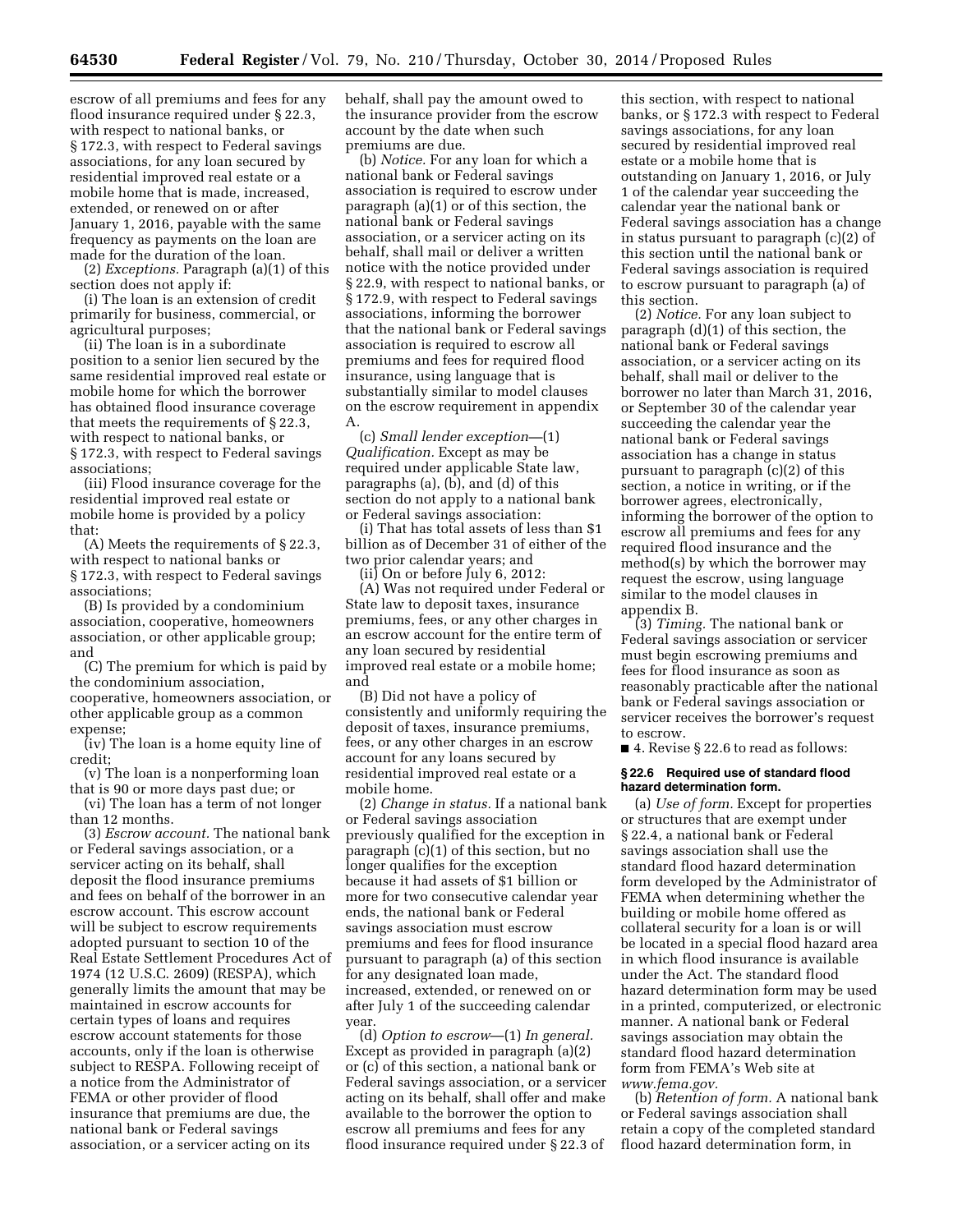escrow of all premiums and fees for any flood insurance required under § 22.3, with respect to national banks, or § 172.3, with respect to Federal savings associations, for any loan secured by residential improved real estate or a mobile home that is made, increased, extended, or renewed on or after January 1, 2016, payable with the same frequency as payments on the loan are made for the duration of the loan.

(2) *Exceptions.* Paragraph (a)(1) of this section does not apply if:

(i) The loan is an extension of credit primarily for business, commercial, or agricultural purposes;

(ii) The loan is in a subordinate position to a senior lien secured by the same residential improved real estate or mobile home for which the borrower has obtained flood insurance coverage that meets the requirements of § 22.3, with respect to national banks, or § 172.3, with respect to Federal savings associations;

(iii) Flood insurance coverage for the residential improved real estate or mobile home is provided by a policy that:

(A) Meets the requirements of § 22.3, with respect to national banks or § 172.3, with respect to Federal savings associations;

(B) Is provided by a condominium association, cooperative, homeowners association, or other applicable group; and

(C) The premium for which is paid by the condominium association, cooperative, homeowners association, or other applicable group as a common expense;

(iv) The loan is a home equity line of credit;

(v) The loan is a nonperforming loan that is 90 or more days past due; or

(vi) The loan has a term of not longer than 12 months.

(3) *Escrow account.* The national bank or Federal savings association, or a servicer acting on its behalf, shall deposit the flood insurance premiums and fees on behalf of the borrower in an escrow account. This escrow account will be subject to escrow requirements adopted pursuant to section 10 of the Real Estate Settlement Procedures Act of 1974 (12 U.S.C. 2609) (RESPA), which generally limits the amount that may be maintained in escrow accounts for certain types of loans and requires escrow account statements for those accounts, only if the loan is otherwise subject to RESPA. Following receipt of a notice from the Administrator of FEMA or other provider of flood insurance that premiums are due, the national bank or Federal savings association, or a servicer acting on its

behalf, shall pay the amount owed to the insurance provider from the escrow account by the date when such premiums are due.

(b) *Notice.* For any loan for which a national bank or Federal savings association is required to escrow under paragraph (a)(1) or of this section, the national bank or Federal savings association, or a servicer acting on its behalf, shall mail or deliver a written notice with the notice provided under § 22.9, with respect to national banks, or § 172.9, with respect to Federal savings associations, informing the borrower that the national bank or Federal savings association is required to escrow all premiums and fees for required flood insurance, using language that is substantially similar to model clauses on the escrow requirement in appendix A.

(c) *Small lender exception—*(1) *Qualification.* Except as may be required under applicable State law, paragraphs (a), (b), and (d) of this section do not apply to a national bank or Federal savings association:

(i) That has total assets of less than \$1 billion as of December 31 of either of the two prior calendar years; and

(ii) On or before July 6, 2012:

(A) Was not required under Federal or State law to deposit taxes, insurance premiums, fees, or any other charges in an escrow account for the entire term of any loan secured by residential improved real estate or a mobile home; and

(B) Did not have a policy of consistently and uniformly requiring the deposit of taxes, insurance premiums, fees, or any other charges in an escrow account for any loans secured by residential improved real estate or a mobile home.

(2) *Change in status.* If a national bank or Federal savings association previously qualified for the exception in paragraph (c)(1) of this section, but no longer qualifies for the exception because it had assets of \$1 billion or more for two consecutive calendar year ends, the national bank or Federal savings association must escrow premiums and fees for flood insurance pursuant to paragraph (a) of this section for any designated loan made, increased, extended, or renewed on or after July 1 of the succeeding calendar year.

(d) *Option to escrow*—(1) *In general.*  Except as provided in paragraph (a)(2) or (c) of this section, a national bank or Federal savings association, or a servicer acting on its behalf, shall offer and make available to the borrower the option to escrow all premiums and fees for any flood insurance required under § 22.3 of

this section, with respect to national banks, or § 172.3 with respect to Federal savings associations, for any loan secured by residential improved real estate or a mobile home that is outstanding on January 1, 2016, or July 1 of the calendar year succeeding the calendar year the national bank or Federal savings association has a change in status pursuant to paragraph (c)(2) of this section until the national bank or Federal savings association is required to escrow pursuant to paragraph (a) of this section.

(2) *Notice.* For any loan subject to paragraph (d)(1) of this section, the national bank or Federal savings association, or a servicer acting on its behalf, shall mail or deliver to the borrower no later than March 31, 2016, or September 30 of the calendar year succeeding the calendar year the national bank or Federal savings association has a change in status pursuant to paragraph (c)(2) of this section, a notice in writing, or if the borrower agrees, electronically, informing the borrower of the option to escrow all premiums and fees for any required flood insurance and the method(s) by which the borrower may request the escrow, using language similar to the model clauses in appendix B.

(3) *Timing.* The national bank or Federal savings association or servicer must begin escrowing premiums and fees for flood insurance as soon as reasonably practicable after the national bank or Federal savings association or servicer receives the borrower's request to escrow.

■ 4. Revise § 22.6 to read as follows:

## **§ 22.6 Required use of standard flood hazard determination form.**

(a) *Use of form.* Except for properties or structures that are exempt under § 22.4, a national bank or Federal savings association shall use the standard flood hazard determination form developed by the Administrator of FEMA when determining whether the building or mobile home offered as collateral security for a loan is or will be located in a special flood hazard area in which flood insurance is available under the Act. The standard flood hazard determination form may be used in a printed, computerized, or electronic manner. A national bank or Federal savings association may obtain the standard flood hazard determination form from FEMA's Web site at *[www.fema.gov.](http://www.fema.gov)* 

(b) *Retention of form.* A national bank or Federal savings association shall retain a copy of the completed standard flood hazard determination form, in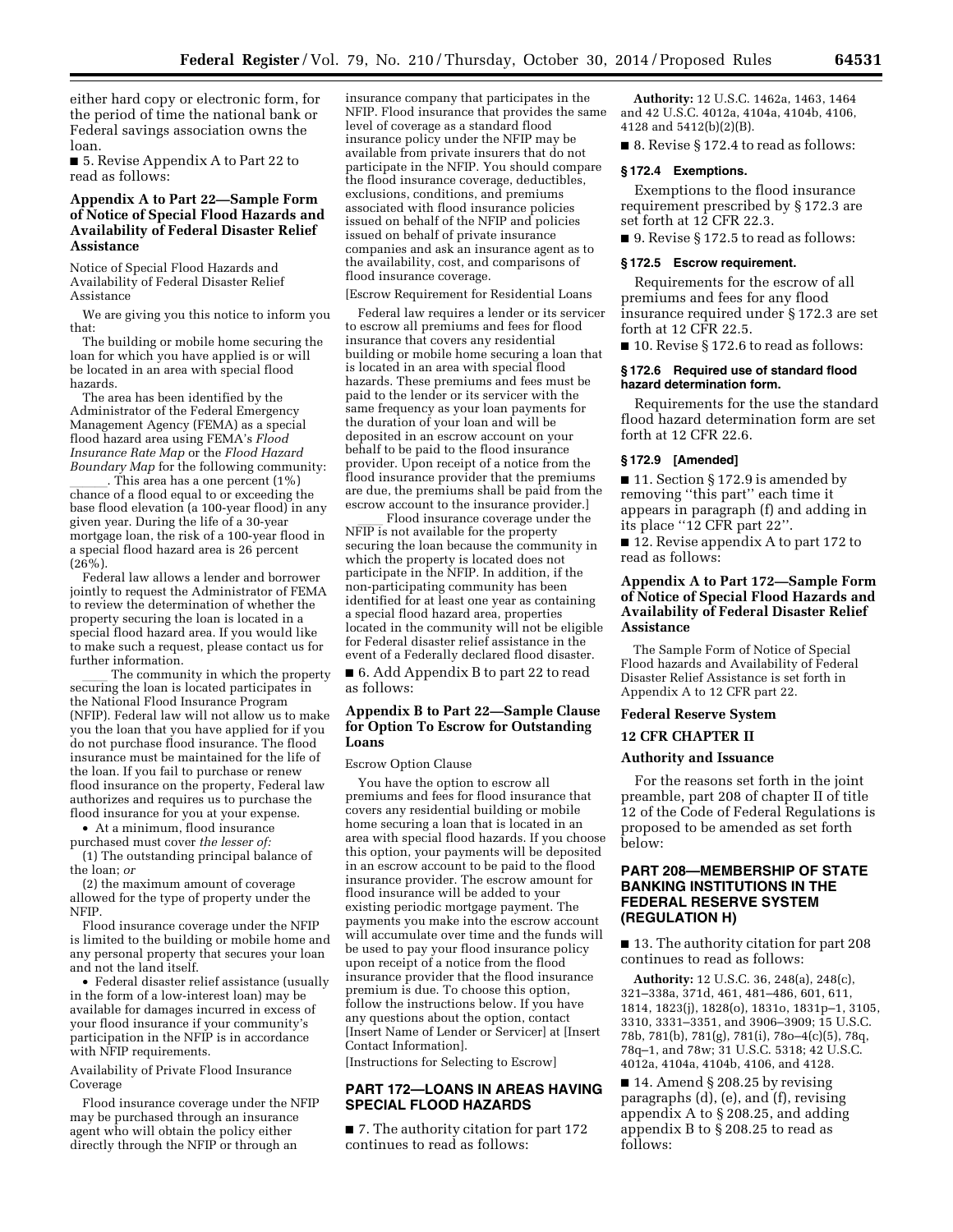either hard copy or electronic form, for the period of time the national bank or Federal savings association owns the loan.

■ 5. Revise Appendix A to Part 22 to read as follows:

# **Appendix A to Part 22—Sample Form of Notice of Special Flood Hazards and Availability of Federal Disaster Relief Assistance**

Notice of Special Flood Hazards and Availability of Federal Disaster Relief Assistance

We are giving you this notice to inform you that:

The building or mobile home securing the loan for which you have applied is or will be located in an area with special flood hazards.

The area has been identified by the Administrator of the Federal Emergency Management Agency (FEMA) as a special flood hazard area using FEMA's *Flood Insurance Rate Map* or the *Flood Hazard Boundary Map* for the following community:<br>This area has a one percent (1%)

\_\_\_\_\_\_. This area has a one percent (1%)<br>chance of a flood equal to or exceeding the base flood elevation (a 100-year flood) in any given year. During the life of a 30-year mortgage loan, the risk of a 100-year flood in a special flood hazard area is 26 percent  $(26\%)$ .

Federal law allows a lender and borrower jointly to request the Administrator of FEMA to review the determination of whether the property securing the loan is located in a special flood hazard area. If you would like to make such a request, please contact us for further information.

The community in which the property securing the loan is located participates in the National Flood Insurance Program (NFIP). Federal law will not allow us to make you the loan that you have applied for if you do not purchase flood insurance. The flood insurance must be maintained for the life of the loan. If you fail to purchase or renew flood insurance on the property, Federal law authorizes and requires us to purchase the flood insurance for you at your expense.

• At a minimum, flood insurance purchased must cover *the lesser of:* 

(1) The outstanding principal balance of the loan; *or* 

(2) the maximum amount of coverage allowed for the type of property under the NFIP.

Flood insurance coverage under the NFIP is limited to the building or mobile home and any personal property that secures your loan and not the land itself.

• Federal disaster relief assistance (usually in the form of a low-interest loan) may be available for damages incurred in excess of your flood insurance if your community's participation in the NFIP is in accordance with NFIP requirements.

Availability of Private Flood Insurance Coverage

Flood insurance coverage under the NFIP may be purchased through an insurance agent who will obtain the policy either directly through the NFIP or through an

insurance company that participates in the NFIP. Flood insurance that provides the same level of coverage as a standard flood insurance policy under the NFIP may be available from private insurers that do not participate in the NFIP. You should compare the flood insurance coverage, deductibles, exclusions, conditions, and premiums associated with flood insurance policies issued on behalf of the NFIP and policies issued on behalf of private insurance companies and ask an insurance agent as to the availability, cost, and comparisons of flood insurance coverage.

[Escrow Requirement for Residential Loans

Federal law requires a lender or its servicer to escrow all premiums and fees for flood insurance that covers any residential building or mobile home securing a loan that is located in an area with special flood hazards. These premiums and fees must be paid to the lender or its servicer with the same frequency as your loan payments for the duration of your loan and will be deposited in an escrow account on your behalf to be paid to the flood insurance provider. Upon receipt of a notice from the flood insurance provider that the premiums are due, the premiums shall be paid from the escrow account to the insurance provider.]

Flood insurance coverage under the NFIP is not available for the property securing the loan because the community in which the property is located does not participate in the NFIP. In addition, if the non-participating community has been identified for at least one year as containing a special flood hazard area, properties located in the community will not be eligible for Federal disaster relief assistance in the event of a Federally declared flood disaster.

■ 6. Add Appendix B to part 22 to read as follows:

# **Appendix B to Part 22—Sample Clause for Option To Escrow for Outstanding Loans**

## Escrow Option Clause

You have the option to escrow all premiums and fees for flood insurance that covers any residential building or mobile home securing a loan that is located in an area with special flood hazards. If you choose this option, your payments will be deposited in an escrow account to be paid to the flood insurance provider. The escrow amount for flood insurance will be added to your existing periodic mortgage payment. The payments you make into the escrow account will accumulate over time and the funds will be used to pay your flood insurance policy upon receipt of a notice from the flood insurance provider that the flood insurance premium is due. To choose this option, follow the instructions below. If you have any questions about the option, contact [Insert Name of Lender or Servicer] at [Insert Contact Information].

[Instructions for Selecting to Escrow]

# **PART 172—LOANS IN AREAS HAVING SPECIAL FLOOD HAZARDS**

■ 7. The authority citation for part 172 continues to read as follows:

**Authority:** 12 U.S.C. 1462a, 1463, 1464 and 42 U.S.C. 4012a, 4104a, 4104b, 4106, 4128 and 5412(b)(2)(B).

■ 8. Revise § 172.4 to read as follows:

#### **§ 172.4 Exemptions.**

Exemptions to the flood insurance requirement prescribed by § 172.3 are set forth at 12 CFR 22.3.

■ 9. Revise § 172.5 to read as follows:

### **§ 172.5 Escrow requirement.**

Requirements for the escrow of all premiums and fees for any flood insurance required under § 172.3 are set forth at 12 CFR 22.5.

■ 10. Revise § 172.6 to read as follows:

## **§ 172.6 Required use of standard flood hazard determination form.**

Requirements for the use the standard flood hazard determination form are set forth at 12 CFR 22.6.

## **§ 172.9 [Amended]**

■ 11. Section § 172.9 is amended by removing ''this part'' each time it appears in paragraph (f) and adding in its place ''12 CFR part 22''.

■ 12. Revise appendix A to part 172 to read as follows:

# **Appendix A to Part 172—Sample Form of Notice of Special Flood Hazards and Availability of Federal Disaster Relief Assistance**

The Sample Form of Notice of Special Flood hazards and Availability of Federal Disaster Relief Assistance is set forth in Appendix A to 12 CFR part 22.

#### **Federal Reserve System**

# **12 CFR CHAPTER II**

## **Authority and Issuance**

For the reasons set forth in the joint preamble, part 208 of chapter II of title 12 of the Code of Federal Regulations is proposed to be amended as set forth below:

# **PART 208—MEMBERSHIP OF STATE BANKING INSTITUTIONS IN THE FEDERAL RESERVE SYSTEM (REGULATION H)**

■ 13. The authority citation for part 208 continues to read as follows:

**Authority:** 12 U.S.C. 36, 248(a), 248(c), 321–338a, 371d, 461, 481–486, 601, 611, 1814, 1823(j), 1828(o), 1831o, 1831p–1, 3105, 3310, 3331–3351, and 3906–3909; 15 U.S.C. 78b, 781(b), 781(g), 781(i), 78o–4(c)(5), 78q, 78q–1, and 78w; 31 U.S.C. 5318; 42 U.S.C. 4012a, 4104a, 4104b, 4106, and 4128.

■ 14. Amend § 208.25 by revising paragraphs (d), (e), and (f), revising appendix A to § 208.25, and adding appendix B to § 208.25 to read as follows: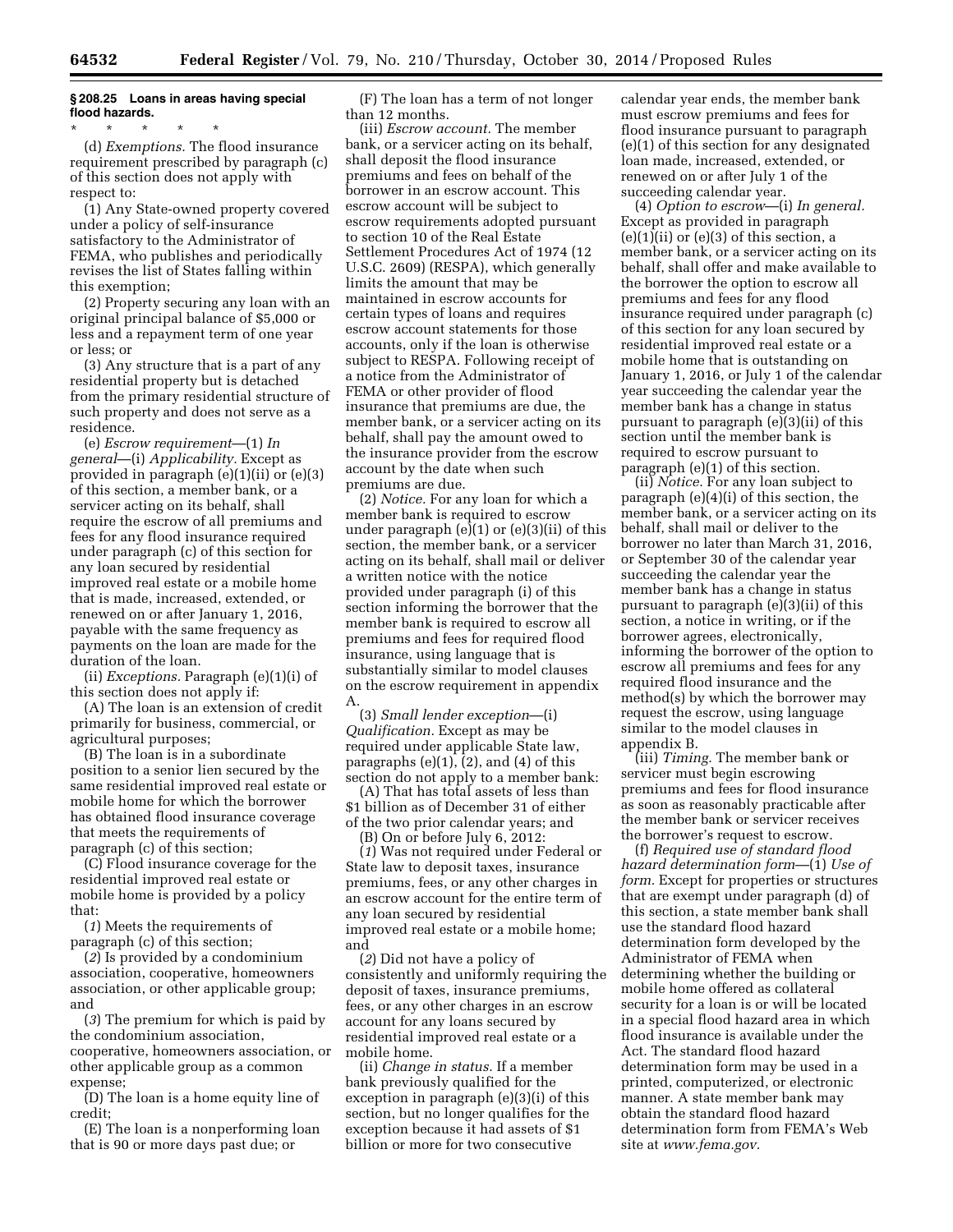# **§ 208.25 Loans in areas having special flood hazards.**

\* \* \* \* \* (d) *Exemptions.* The flood insurance requirement prescribed by paragraph (c) of this section does not apply with respect to:

(1) Any State-owned property covered under a policy of self-insurance satisfactory to the Administrator of FEMA, who publishes and periodically revises the list of States falling within this exemption;

(2) Property securing any loan with an original principal balance of \$5,000 or less and a repayment term of one year or less; or

(3) Any structure that is a part of any residential property but is detached from the primary residential structure of such property and does not serve as a residence.

(e) *Escrow requirement*—(1) *In general*—(i) *Applicability.* Except as provided in paragraph (e)(1)(ii) or (e)(3) of this section, a member bank, or a servicer acting on its behalf, shall require the escrow of all premiums and fees for any flood insurance required under paragraph (c) of this section for any loan secured by residential improved real estate or a mobile home that is made, increased, extended, or renewed on or after January 1, 2016, payable with the same frequency as payments on the loan are made for the duration of the loan.

(ii) *Exceptions.* Paragraph (e)(1)(i) of this section does not apply if:

(A) The loan is an extension of credit primarily for business, commercial, or agricultural purposes;

(B) The loan is in a subordinate position to a senior lien secured by the same residential improved real estate or mobile home for which the borrower has obtained flood insurance coverage that meets the requirements of paragraph (c) of this section;

(C) Flood insurance coverage for the residential improved real estate or mobile home is provided by a policy that:

(*1*) Meets the requirements of paragraph (c) of this section;

(*2*) Is provided by a condominium association, cooperative, homeowners association, or other applicable group; and

(*3*) The premium for which is paid by the condominium association, cooperative, homeowners association, or other applicable group as a common expense;

(D) The loan is a home equity line of credit;

(E) The loan is a nonperforming loan that is 90 or more days past due; or

(F) The loan has a term of not longer than 12 months.

(iii) *Escrow account.* The member bank, or a servicer acting on its behalf, shall deposit the flood insurance premiums and fees on behalf of the borrower in an escrow account. This escrow account will be subject to escrow requirements adopted pursuant to section 10 of the Real Estate Settlement Procedures Act of 1974 (12 U.S.C. 2609) (RESPA), which generally limits the amount that may be maintained in escrow accounts for certain types of loans and requires escrow account statements for those accounts, only if the loan is otherwise subject to RESPA. Following receipt of a notice from the Administrator of FEMA or other provider of flood insurance that premiums are due, the member bank, or a servicer acting on its behalf, shall pay the amount owed to the insurance provider from the escrow account by the date when such premiums are due.

(2) *Notice.* For any loan for which a member bank is required to escrow under paragraph (e)(1) or (e)(3)(ii) of this section, the member bank, or a servicer acting on its behalf, shall mail or deliver a written notice with the notice provided under paragraph (i) of this section informing the borrower that the member bank is required to escrow all premiums and fees for required flood insurance, using language that is substantially similar to model clauses on the escrow requirement in appendix A.

(3) *Small lender exception*—(i) *Qualification.* Except as may be required under applicable State law, paragraphs (e)(1), (2), and (4) of this section do not apply to a member bank:

(A) That has total assets of less than \$1 billion as of December 31 of either of the two prior calendar years; and

(B) On or before July 6, 2012:

(*1*) Was not required under Federal or State law to deposit taxes, insurance premiums, fees, or any other charges in an escrow account for the entire term of any loan secured by residential improved real estate or a mobile home; and

(*2*) Did not have a policy of consistently and uniformly requiring the deposit of taxes, insurance premiums, fees, or any other charges in an escrow account for any loans secured by residential improved real estate or a mobile home.

(ii) *Change in status.* If a member bank previously qualified for the exception in paragraph (e)(3)(i) of this section, but no longer qualifies for the exception because it had assets of \$1 billion or more for two consecutive

calendar year ends, the member bank must escrow premiums and fees for flood insurance pursuant to paragraph (e)(1) of this section for any designated loan made, increased, extended, or renewed on or after July 1 of the succeeding calendar year.

(4) *Option to escrow*—(i) *In general.*  Except as provided in paragraph  $(e)(1)(ii)$  or  $(e)(3)$  of this section, a member bank, or a servicer acting on its behalf, shall offer and make available to the borrower the option to escrow all premiums and fees for any flood insurance required under paragraph (c) of this section for any loan secured by residential improved real estate or a mobile home that is outstanding on January 1, 2016, or July 1 of the calendar year succeeding the calendar year the member bank has a change in status pursuant to paragraph (e)(3)(ii) of this section until the member bank is required to escrow pursuant to paragraph (e)(1) of this section.

(ii) *Notice.* For any loan subject to paragraph (e)(4)(i) of this section, the member bank, or a servicer acting on its behalf, shall mail or deliver to the borrower no later than March 31, 2016, or September 30 of the calendar year succeeding the calendar year the member bank has a change in status pursuant to paragraph (e)(3)(ii) of this section, a notice in writing, or if the borrower agrees, electronically, informing the borrower of the option to escrow all premiums and fees for any required flood insurance and the method(s) by which the borrower may request the escrow, using language similar to the model clauses in appendix B.

(iii) *Timing.* The member bank or servicer must begin escrowing premiums and fees for flood insurance as soon as reasonably practicable after the member bank or servicer receives the borrower's request to escrow.

(f) *Required use of standard flood hazard determination form*—(1) *Use of form.* Except for properties or structures that are exempt under paragraph (d) of this section, a state member bank shall use the standard flood hazard determination form developed by the Administrator of FEMA when determining whether the building or mobile home offered as collateral security for a loan is or will be located in a special flood hazard area in which flood insurance is available under the Act. The standard flood hazard determination form may be used in a printed, computerized, or electronic manner. A state member bank may obtain the standard flood hazard determination form from FEMA's Web site at *[www.fema.gov.](http://www.fema.gov)*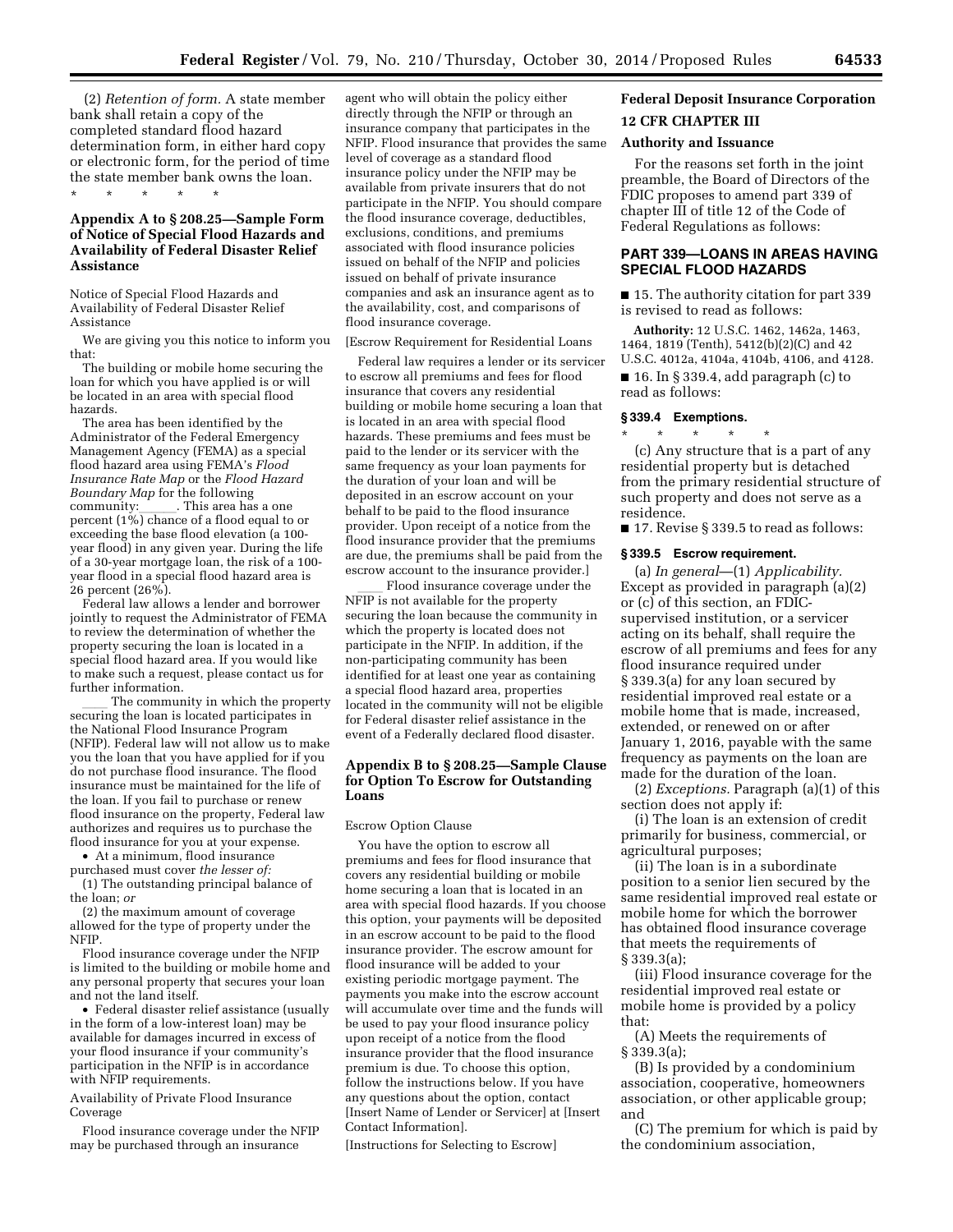(2) *Retention of form.* A state member bank shall retain a copy of the completed standard flood hazard determination form, in either hard copy or electronic form, for the period of time the state member bank owns the loan. \* \* \* \* \*

# **Appendix A to § 208.25—Sample Form of Notice of Special Flood Hazards and Availability of Federal Disaster Relief Assistance**

Notice of Special Flood Hazards and Availability of Federal Disaster Relief Assistance

We are giving you this notice to inform you that:

The building or mobile home securing the loan for which you have applied is or will be located in an area with special flood hazards.

The area has been identified by the Administrator of the Federal Emergency Management Agency (FEMA) as a special flood hazard area using FEMA's *Flood Insurance Rate Map* or the *Flood Hazard Boundary Map* for the following community:\_\_\_\_\_\_\_. This area has a one<br>percent (1%) chance of a flood equal to or exceeding the base flood elevation (a 100 year flood) in any given year. During the life of a 30-year mortgage loan, the risk of a 100 year flood in a special flood hazard area is 26 percent (26%).

Federal law allows a lender and borrower jointly to request the Administrator of FEMA to review the determination of whether the property securing the loan is located in a special flood hazard area. If you would like to make such a request, please contact us for further information.

The community in which the property securing the loan is located participates in the National Flood Insurance Program (NFIP). Federal law will not allow us to make you the loan that you have applied for if you do not purchase flood insurance. The flood insurance must be maintained for the life of the loan. If you fail to purchase or renew flood insurance on the property, Federal law authorizes and requires us to purchase the flood insurance for you at your expense.

• At a minimum, flood insurance purchased must cover *the lesser of:* 

(1) The outstanding principal balance of the loan; *or* 

(2) the maximum amount of coverage allowed for the type of property under the NFIP.

Flood insurance coverage under the NFIP is limited to the building or mobile home and any personal property that secures your loan and not the land itself.

• Federal disaster relief assistance (usually in the form of a low-interest loan) may be available for damages incurred in excess of your flood insurance if your community's participation in the NFIP is in accordance with NFIP requirements.

Availability of Private Flood Insurance Coverage

Flood insurance coverage under the NFIP may be purchased through an insurance

agent who will obtain the policy either directly through the NFIP or through an insurance company that participates in the NFIP. Flood insurance that provides the same level of coverage as a standard flood insurance policy under the NFIP may be available from private insurers that do not participate in the NFIP. You should compare the flood insurance coverage, deductibles, exclusions, conditions, and premiums associated with flood insurance policies issued on behalf of the NFIP and policies issued on behalf of private insurance companies and ask an insurance agent as to the availability, cost, and comparisons of flood insurance coverage.

[Escrow Requirement for Residential Loans

Federal law requires a lender or its servicer to escrow all premiums and fees for flood insurance that covers any residential building or mobile home securing a loan that is located in an area with special flood hazards. These premiums and fees must be paid to the lender or its servicer with the same frequency as your loan payments for the duration of your loan and will be deposited in an escrow account on your behalf to be paid to the flood insurance provider. Upon receipt of a notice from the flood insurance provider that the premiums are due, the premiums shall be paid from the escrow account to the insurance provider.]

Flood insurance coverage under the NFIP is not available for the property securing the loan because the community in which the property is located does not participate in the NFIP. In addition, if the non-participating community has been identified for at least one year as containing a special flood hazard area, properties located in the community will not be eligible for Federal disaster relief assistance in the event of a Federally declared flood disaster.

## **Appendix B to § 208.25—Sample Clause for Option To Escrow for Outstanding Loans**

#### Escrow Option Clause

You have the option to escrow all premiums and fees for flood insurance that covers any residential building or mobile home securing a loan that is located in an area with special flood hazards. If you choose this option, your payments will be deposited in an escrow account to be paid to the flood insurance provider. The escrow amount for flood insurance will be added to your existing periodic mortgage payment. The payments you make into the escrow account will accumulate over time and the funds will be used to pay your flood insurance policy upon receipt of a notice from the flood insurance provider that the flood insurance premium is due. To choose this option, follow the instructions below. If you have any questions about the option, contact [Insert Name of Lender or Servicer] at [Insert Contact Information].

[Instructions for Selecting to Escrow]

# **Federal Deposit Insurance Corporation 12 CFR CHAPTER III**

## **Authority and Issuance**

For the reasons set forth in the joint preamble, the Board of Directors of the FDIC proposes to amend part 339 of chapter III of title 12 of the Code of Federal Regulations as follows:

# **PART 339—LOANS IN AREAS HAVING SPECIAL FLOOD HAZARDS**

■ 15. The authority citation for part 339 is revised to read as follows:

**Authority:** 12 U.S.C. 1462, 1462a, 1463, 1464, 1819 (Tenth), 5412(b)(2)(C) and 42 U.S.C. 4012a, 4104a, 4104b, 4106, and 4128.

 $\blacksquare$  16. In § 339.4, add paragraph (c) to read as follows:

#### **§ 339.4 Exemptions.**  \* \* \* \* \*

(c) Any structure that is a part of any residential property but is detached from the primary residential structure of such property and does not serve as a residence.

■ 17. Revise § 339.5 to read as follows:

#### **§ 339.5 Escrow requirement.**

(a) *In general*—(1) *Applicability.*  Except as provided in paragraph (a)(2) or (c) of this section, an FDICsupervised institution, or a servicer acting on its behalf, shall require the escrow of all premiums and fees for any flood insurance required under § 339.3(a) for any loan secured by residential improved real estate or a mobile home that is made, increased, extended, or renewed on or after January 1, 2016, payable with the same frequency as payments on the loan are made for the duration of the loan.

(2) *Exceptions.* Paragraph (a)(1) of this section does not apply if:

(i) The loan is an extension of credit primarily for business, commercial, or agricultural purposes;

(ii) The loan is in a subordinate position to a senior lien secured by the same residential improved real estate or mobile home for which the borrower has obtained flood insurance coverage that meets the requirements of § 339.3(a);

(iii) Flood insurance coverage for the residential improved real estate or mobile home is provided by a policy that:

(A) Meets the requirements of § 339.3(a);

(B) Is provided by a condominium association, cooperative, homeowners association, or other applicable group; and

(C) The premium for which is paid by the condominium association,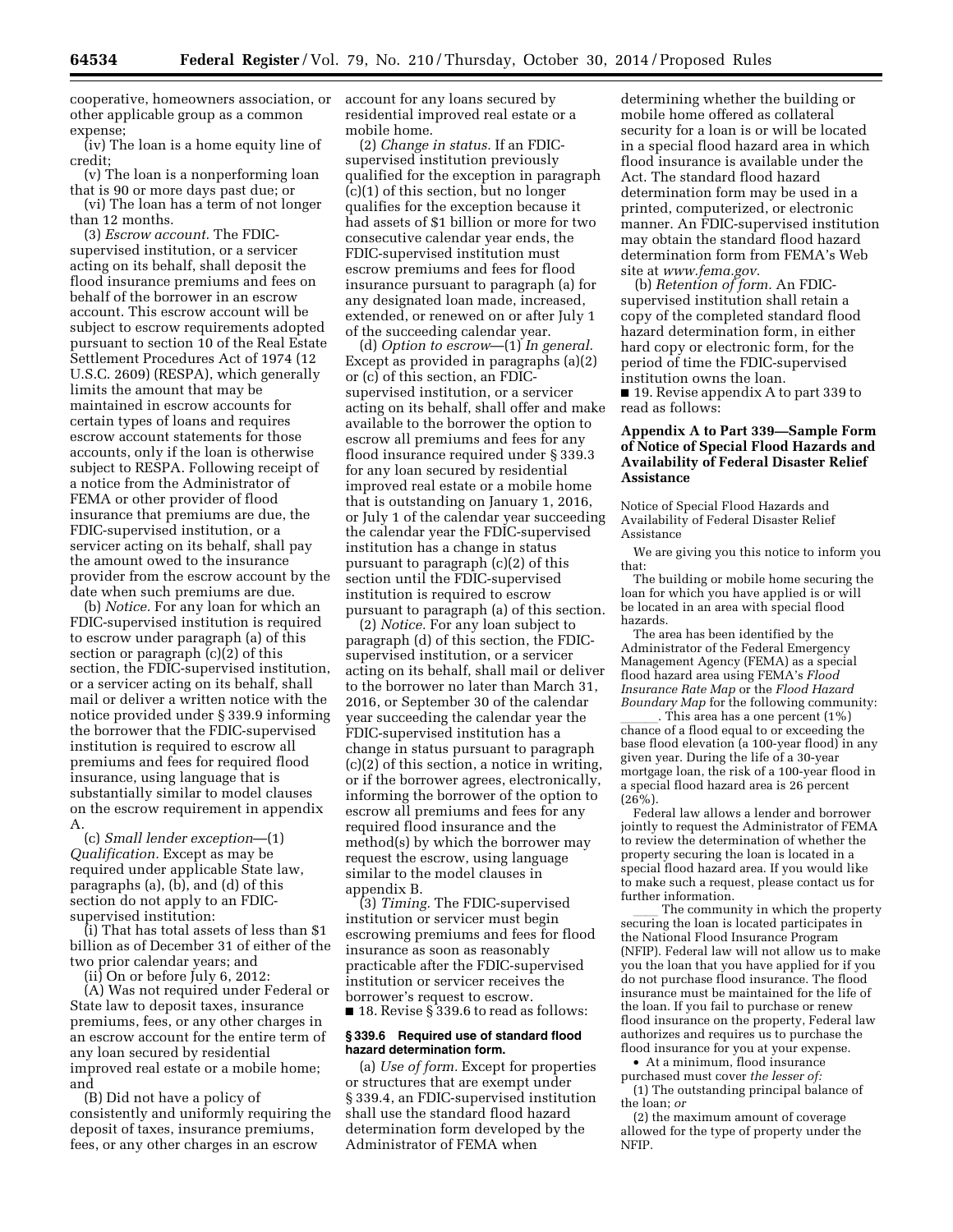cooperative, homeowners association, or other applicable group as a common expense;

(iv) The loan is a home equity line of credit;

(v) The loan is a nonperforming loan that is 90 or more days past due; or (vi) The loan has a term of not longer

than 12 months. (3) *Escrow account.* The FDICsupervised institution, or a servicer acting on its behalf, shall deposit the flood insurance premiums and fees on behalf of the borrower in an escrow account. This escrow account will be subject to escrow requirements adopted pursuant to section 10 of the Real Estate Settlement Procedures Act of 1974 (12 U.S.C. 2609) (RESPA), which generally limits the amount that may be maintained in escrow accounts for certain types of loans and requires escrow account statements for those accounts, only if the loan is otherwise subject to RESPA. Following receipt of a notice from the Administrator of FEMA or other provider of flood insurance that premiums are due, the FDIC-supervised institution, or a servicer acting on its behalf, shall pay the amount owed to the insurance provider from the escrow account by the date when such premiums are due.

(b) *Notice.* For any loan for which an FDIC-supervised institution is required to escrow under paragraph (a) of this section or paragraph (c)(2) of this section, the FDIC-supervised institution, or a servicer acting on its behalf, shall mail or deliver a written notice with the notice provided under § 339.9 informing the borrower that the FDIC-supervised institution is required to escrow all premiums and fees for required flood insurance, using language that is substantially similar to model clauses on the escrow requirement in appendix A.

(c) *Small lender exception*—(1) *Qualification.* Except as may be required under applicable State law, paragraphs (a), (b), and (d) of this section do not apply to an FDICsupervised institution:

(i) That has total assets of less than \$1 billion as of December 31 of either of the two prior calendar years; and

(ii) On or before July 6, 2012:

(A) Was not required under Federal or State law to deposit taxes, insurance premiums, fees, or any other charges in an escrow account for the entire term of any loan secured by residential improved real estate or a mobile home; and

(B) Did not have a policy of consistently and uniformly requiring the deposit of taxes, insurance premiums, fees, or any other charges in an escrow

account for any loans secured by residential improved real estate or a mobile home.

(2) *Change in status.* If an FDICsupervised institution previously qualified for the exception in paragraph (c)(1) of this section, but no longer qualifies for the exception because it had assets of \$1 billion or more for two consecutive calendar year ends, the FDIC-supervised institution must escrow premiums and fees for flood insurance pursuant to paragraph (a) for any designated loan made, increased, extended, or renewed on or after July 1 of the succeeding calendar year.

(d) *Option to escrow*—(1) *In general.*  Except as provided in paragraphs (a)(2) or (c) of this section, an FDICsupervised institution, or a servicer acting on its behalf, shall offer and make available to the borrower the option to escrow all premiums and fees for any flood insurance required under § 339.3 for any loan secured by residential improved real estate or a mobile home that is outstanding on January 1, 2016, or July 1 of the calendar year succeeding the calendar year the FDIC-supervised institution has a change in status pursuant to paragraph (c)(2) of this section until the FDIC-supervised institution is required to escrow pursuant to paragraph (a) of this section.

(2) *Notice.* For any loan subject to paragraph (d) of this section, the FDICsupervised institution, or a servicer acting on its behalf, shall mail or deliver to the borrower no later than March 31, 2016, or September 30 of the calendar year succeeding the calendar year the FDIC-supervised institution has a change in status pursuant to paragraph (c)(2) of this section, a notice in writing, or if the borrower agrees, electronically, informing the borrower of the option to escrow all premiums and fees for any required flood insurance and the method(s) by which the borrower may request the escrow, using language similar to the model clauses in appendix B.

(3) *Timing.* The FDIC-supervised institution or servicer must begin escrowing premiums and fees for flood insurance as soon as reasonably practicable after the FDIC-supervised institution or servicer receives the borrower's request to escrow.

■ 18. Revise § 339.6 to read as follows:

## **§ 339.6 Required use of standard flood hazard determination form.**

(a) *Use of form.* Except for properties or structures that are exempt under § 339.4, an FDIC-supervised institution shall use the standard flood hazard determination form developed by the Administrator of FEMA when

determining whether the building or mobile home offered as collateral security for a loan is or will be located in a special flood hazard area in which flood insurance is available under the Act. The standard flood hazard determination form may be used in a printed, computerized, or electronic manner. An FDIC-supervised institution may obtain the standard flood hazard determination form from FEMA's Web site at *[www.fema.gov.](http://www.fema.gov)* 

(b) *Retention of form.* An FDICsupervised institution shall retain a copy of the completed standard flood hazard determination form, in either hard copy or electronic form, for the period of time the FDIC-supervised institution owns the loan.

■ 19. Revise appendix A to part 339 to read as follows:

# **Appendix A to Part 339—Sample Form of Notice of Special Flood Hazards and Availability of Federal Disaster Relief Assistance**

Notice of Special Flood Hazards and Availability of Federal Disaster Relief Assistance

We are giving you this notice to inform you that:

The building or mobile home securing the loan for which you have applied is or will be located in an area with special flood hazards.

The area has been identified by the Administrator of the Federal Emergency Management Agency (FEMA) as a special flood hazard area using FEMA's *Flood Insurance Rate Map* or the *Flood Hazard Boundary Map* for the following community:

 $\frac{1}{\text{Change of a flood equal to or exceeding the}}$ base flood elevation (a 100-year flood) in any given year. During the life of a 30-year mortgage loan, the risk of a 100-year flood in a special flood hazard area is 26 percent  $(26\%)$ .

Federal law allows a lender and borrower jointly to request the Administrator of FEMA to review the determination of whether the property securing the loan is located in a special flood hazard area. If you would like to make such a request, please contact us for further information.

ll The community in which the property securing the loan is located participates in the National Flood Insurance Program (NFIP). Federal law will not allow us to make you the loan that you have applied for if you do not purchase flood insurance. The flood insurance must be maintained for the life of the loan. If you fail to purchase or renew flood insurance on the property, Federal law authorizes and requires us to purchase the flood insurance for you at your expense.

• At a minimum, flood insurance purchased must cover *the lesser of:*  (1) The outstanding principal balance of the loan; *or* 

(2) the maximum amount of coverage allowed for the type of property under the NFIP.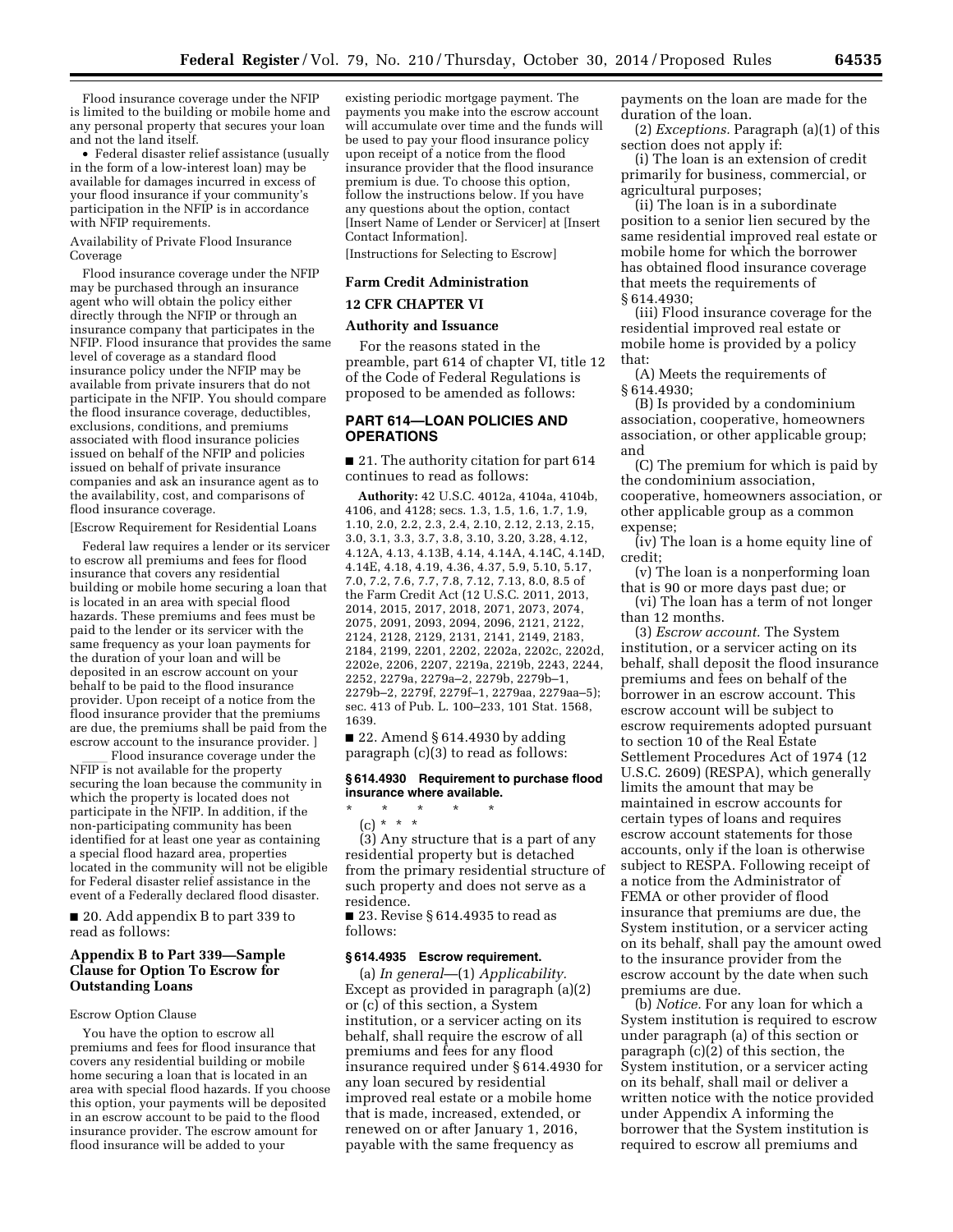Flood insurance coverage under the NFIP is limited to the building or mobile home and any personal property that secures your loan and not the land itself.

• Federal disaster relief assistance (usually in the form of a low-interest loan) may be available for damages incurred in excess of your flood insurance if your community's participation in the NFIP is in accordance with NFIP requirements.

Availability of Private Flood Insurance Coverage

Flood insurance coverage under the NFIP may be purchased through an insurance agent who will obtain the policy either directly through the NFIP or through an insurance company that participates in the NFIP. Flood insurance that provides the same level of coverage as a standard flood insurance policy under the NFIP may be available from private insurers that do not participate in the NFIP. You should compare the flood insurance coverage, deductibles, exclusions, conditions, and premiums associated with flood insurance policies issued on behalf of the NFIP and policies issued on behalf of private insurance companies and ask an insurance agent as to the availability, cost, and comparisons of flood insurance coverage.

[Escrow Requirement for Residential Loans

Federal law requires a lender or its servicer to escrow all premiums and fees for flood insurance that covers any residential building or mobile home securing a loan that is located in an area with special flood hazards. These premiums and fees must be paid to the lender or its servicer with the same frequency as your loan payments for the duration of your loan and will be deposited in an escrow account on your behalf to be paid to the flood insurance provider. Upon receipt of a notice from the flood insurance provider that the premiums are due, the premiums shall be paid from the escrow account to the insurance provider. ]

Flood insurance coverage under the NFIP is not available for the property securing the loan because the community in which the property is located does not participate in the NFIP. In addition, if the non-participating community has been identified for at least one year as containing a special flood hazard area, properties located in the community will not be eligible for Federal disaster relief assistance in the event of a Federally declared flood disaster.

■ 20. Add appendix B to part 339 to read as follows:

# **Appendix B to Part 339—Sample Clause for Option To Escrow for Outstanding Loans**

#### Escrow Option Clause

You have the option to escrow all premiums and fees for flood insurance that covers any residential building or mobile home securing a loan that is located in an area with special flood hazards. If you choose this option, your payments will be deposited in an escrow account to be paid to the flood insurance provider. The escrow amount for flood insurance will be added to your

existing periodic mortgage payment. The payments you make into the escrow account will accumulate over time and the funds will be used to pay your flood insurance policy upon receipt of a notice from the flood insurance provider that the flood insurance premium is due. To choose this option, follow the instructions below. If you have any questions about the option, contact [Insert Name of Lender or Servicer] at [Insert Contact Information].

[Instructions for Selecting to Escrow]

# **Farm Credit Administration**

#### **12 CFR CHAPTER VI**

#### **Authority and Issuance**

For the reasons stated in the preamble, part 614 of chapter VI, title 12 of the Code of Federal Regulations is proposed to be amended as follows:

## **PART 614—LOAN POLICIES AND OPERATIONS**

■ 21. The authority citation for part 614 continues to read as follows:

**Authority:** 42 U.S.C. 4012a, 4104a, 4104b, 4106, and 4128; secs. 1.3, 1.5, 1.6, 1.7, 1.9, 1.10, 2.0, 2.2, 2.3, 2.4, 2.10, 2.12, 2.13, 2.15, 3.0, 3.1, 3.3, 3.7, 3.8, 3.10, 3.20, 3.28, 4.12, 4.12A, 4.13, 4.13B, 4.14, 4.14A, 4.14C, 4.14D, 4.14E, 4.18, 4.19, 4.36, 4.37, 5.9, 5.10, 5.17, 7.0, 7.2, 7.6, 7.7, 7.8, 7.12, 7.13, 8.0, 8.5 of the Farm Credit Act (12 U.S.C. 2011, 2013, 2014, 2015, 2017, 2018, 2071, 2073, 2074, 2075, 2091, 2093, 2094, 2096, 2121, 2122, 2124, 2128, 2129, 2131, 2141, 2149, 2183, 2184, 2199, 2201, 2202, 2202a, 2202c, 2202d, 2202e, 2206, 2207, 2219a, 2219b, 2243, 2244, 2252, 2279a, 2279a–2, 2279b, 2279b–1, 2279b–2, 2279f, 2279f–1, 2279aa, 2279aa–5); sec. 413 of Pub. L. 100–233, 101 Stat. 1568, 1639.

■ 22. Amend § 614.4930 by adding paragraph (c)(3) to read as follows:

## **§ 614.4930 Requirement to purchase flood insurance where available.**

\* \* \* \* \*

(c) \* \* \* (3) Any structure that is a part of any residential property but is detached from the primary residential structure of such property and does not serve as a residence.

■ 23. Revise § 614.4935 to read as follows:

### **§ 614.4935 Escrow requirement.**

(a) *In general*—(1) *Applicability.*  Except as provided in paragraph (a)(2) or (c) of this section, a System institution, or a servicer acting on its behalf, shall require the escrow of all premiums and fees for any flood insurance required under § 614.4930 for any loan secured by residential improved real estate or a mobile home that is made, increased, extended, or renewed on or after January 1, 2016, payable with the same frequency as

payments on the loan are made for the duration of the loan.

(2) *Exceptions.* Paragraph (a)(1) of this section does not apply if:

(i) The loan is an extension of credit primarily for business, commercial, or agricultural purposes;

(ii) The loan is in a subordinate position to a senior lien secured by the same residential improved real estate or mobile home for which the borrower has obtained flood insurance coverage that meets the requirements of § 614.4930;

(iii) Flood insurance coverage for the residential improved real estate or mobile home is provided by a policy that:

(A) Meets the requirements of § 614.4930;

(B) Is provided by a condominium association, cooperative, homeowners association, or other applicable group; and

(C) The premium for which is paid by the condominium association, cooperative, homeowners association, or other applicable group as a common expense;

(iv) The loan is a home equity line of credit;

(v) The loan is a nonperforming loan that is 90 or more days past due; or

(vi) The loan has a term of not longer than 12 months.

(3) *Escrow account.* The System institution, or a servicer acting on its behalf, shall deposit the flood insurance premiums and fees on behalf of the borrower in an escrow account. This escrow account will be subject to escrow requirements adopted pursuant to section 10 of the Real Estate Settlement Procedures Act of 1974 (12 U.S.C. 2609) (RESPA), which generally limits the amount that may be maintained in escrow accounts for certain types of loans and requires escrow account statements for those accounts, only if the loan is otherwise subject to RESPA. Following receipt of a notice from the Administrator of FEMA or other provider of flood insurance that premiums are due, the System institution, or a servicer acting on its behalf, shall pay the amount owed to the insurance provider from the escrow account by the date when such premiums are due.

(b) *Notice.* For any loan for which a System institution is required to escrow under paragraph (a) of this section or paragraph (c)(2) of this section, the System institution, or a servicer acting on its behalf, shall mail or deliver a written notice with the notice provided under Appendix A informing the borrower that the System institution is required to escrow all premiums and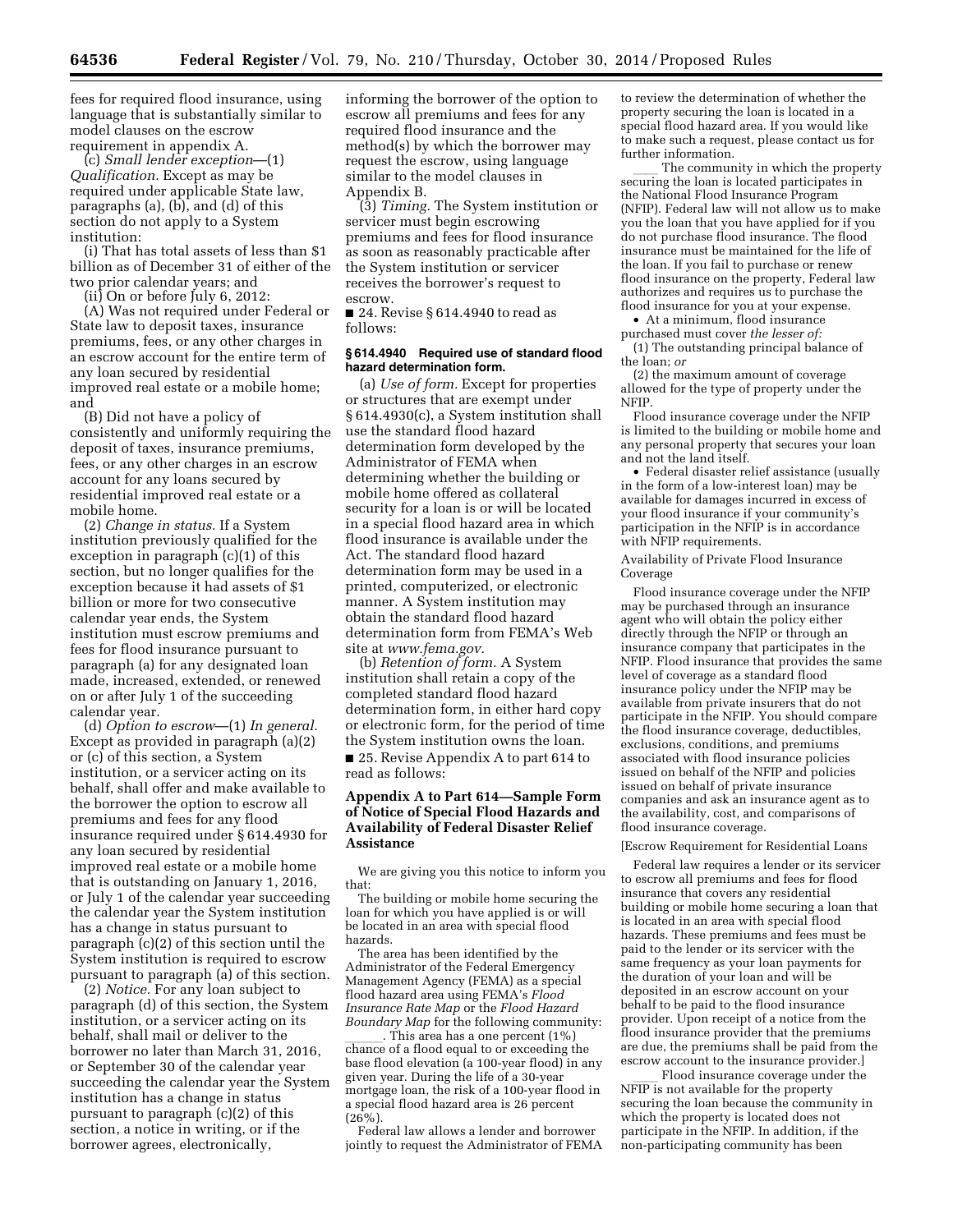fees for required flood insurance, using language that is substantially similar to model clauses on the escrow requirement in appendix A.

(c) *Small lender exception*—(1) *Qualification.* Except as may be required under applicable State law, paragraphs (a), (b), and (d) of this section do not apply to a System institution:

(i) That has total assets of less than \$1 billion as of December 31 of either of the two prior calendar years; and

(ii) On or before July 6, 2012:

(A) Was not required under Federal or State law to deposit taxes, insurance premiums, fees, or any other charges in an escrow account for the entire term of any loan secured by residential improved real estate or a mobile home; and

(B) Did not have a policy of consistently and uniformly requiring the deposit of taxes, insurance premiums, fees, or any other charges in an escrow account for any loans secured by residential improved real estate or a mobile home.

(2) *Change in status.* If a System institution previously qualified for the exception in paragraph (c)(1) of this section, but no longer qualifies for the exception because it had assets of \$1 billion or more for two consecutive calendar year ends, the System institution must escrow premiums and fees for flood insurance pursuant to paragraph (a) for any designated loan made, increased, extended, or renewed on or after July 1 of the succeeding calendar year.

(d) *Option to escrow*—(1) *In general.*  Except as provided in paragraph (a)(2) or (c) of this section, a System institution, or a servicer acting on its behalf, shall offer and make available to the borrower the option to escrow all premiums and fees for any flood insurance required under § 614.4930 for any loan secured by residential improved real estate or a mobile home that is outstanding on January 1, 2016, or July 1 of the calendar year succeeding the calendar year the System institution has a change in status pursuant to paragraph (c)(2) of this section until the System institution is required to escrow pursuant to paragraph (a) of this section.

(2) *Notice.* For any loan subject to paragraph (d) of this section, the System institution, or a servicer acting on its behalf, shall mail or deliver to the borrower no later than March 31, 2016, or September 30 of the calendar year succeeding the calendar year the System institution has a change in status pursuant to paragraph (c)(2) of this section, a notice in writing, or if the borrower agrees, electronically,

informing the borrower of the option to escrow all premiums and fees for any required flood insurance and the method(s) by which the borrower may request the escrow, using language similar to the model clauses in Appendix B.

(3) *Timing.* The System institution or servicer must begin escrowing premiums and fees for flood insurance as soon as reasonably practicable after the System institution or servicer receives the borrower's request to escrow.

■ 24. Revise § 614.4940 to read as follows:

#### **§ 614.4940 Required use of standard flood hazard determination form.**

(a) *Use of form.* Except for properties or structures that are exempt under § 614.4930(c), a System institution shall use the standard flood hazard determination form developed by the Administrator of FEMA when determining whether the building or mobile home offered as collateral security for a loan is or will be located in a special flood hazard area in which flood insurance is available under the Act. The standard flood hazard determination form may be used in a printed, computerized, or electronic manner. A System institution may obtain the standard flood hazard determination form from FEMA's Web site at *[www.fema.gov.](http://www.fema.gov)* 

(b) *Retention of form.* A System institution shall retain a copy of the completed standard flood hazard determination form, in either hard copy or electronic form, for the period of time the System institution owns the loan.

■ 25. Revise Appendix A to part 614 to read as follows:

# **Appendix A to Part 614—Sample Form of Notice of Special Flood Hazards and Availability of Federal Disaster Relief Assistance**

We are giving you this notice to inform you that:

The building or mobile home securing the loan for which you have applied is or will be located in an area with special flood hazards.

The area has been identified by the Administrator of the Federal Emergency Management Agency (FEMA) as a special flood hazard area using FEMA's *Flood Insurance Rate Map* or the *Flood Hazard Boundary Map* for the following community:<br>This area has a one percent (1%)

 $\frac{1}{\text{Change of a flood equal to or exceeding the}}$ base flood elevation (a 100-year flood) in any given year. During the life of a 30-year mortgage loan, the risk of a 100-year flood in a special flood hazard area is 26 percent (26%).

Federal law allows a lender and borrower jointly to request the Administrator of FEMA

to review the determination of whether the property securing the loan is located in a special flood hazard area. If you would like to make such a request, please contact us for further information.

The community in which the property securing the loan is located participates in the National Flood Insurance Program (NFIP). Federal law will not allow us to make you the loan that you have applied for if you do not purchase flood insurance. The flood insurance must be maintained for the life of the loan. If you fail to purchase or renew flood insurance on the property, Federal law authorizes and requires us to purchase the flood insurance for you at your expense.

• At a minimum, flood insurance purchased must cover *the lesser of:* 

(1) The outstanding principal balance of the loan; *or* 

(2) the maximum amount of coverage allowed for the type of property under the NFIP.

Flood insurance coverage under the NFIP is limited to the building or mobile home and any personal property that secures your loan and not the land itself.

• Federal disaster relief assistance (usually in the form of a low-interest loan) may be available for damages incurred in excess of your flood insurance if your community's participation in the NFIP is in accordance with NFIP requirements.

Availability of Private Flood Insurance Coverage

Flood insurance coverage under the NFIP may be purchased through an insurance agent who will obtain the policy either directly through the NFIP or through an insurance company that participates in the NFIP. Flood insurance that provides the same level of coverage as a standard flood insurance policy under the NFIP may be available from private insurers that do not participate in the NFIP. You should compare the flood insurance coverage, deductibles, exclusions, conditions, and premiums associated with flood insurance policies issued on behalf of the NFIP and policies issued on behalf of private insurance companies and ask an insurance agent as to the availability, cost, and comparisons of flood insurance coverage.

## [Escrow Requirement for Residential Loans

Federal law requires a lender or its servicer to escrow all premiums and fees for flood insurance that covers any residential building or mobile home securing a loan that is located in an area with special flood hazards. These premiums and fees must be paid to the lender or its servicer with the same frequency as your loan payments for the duration of your loan and will be deposited in an escrow account on your behalf to be paid to the flood insurance provider. Upon receipt of a notice from the flood insurance provider that the premiums are due, the premiums shall be paid from the escrow account to the insurance provider.]

Flood insurance coverage under the NFIP is not available for the property securing the loan because the community in which the property is located does not participate in the NFIP. In addition, if the non-participating community has been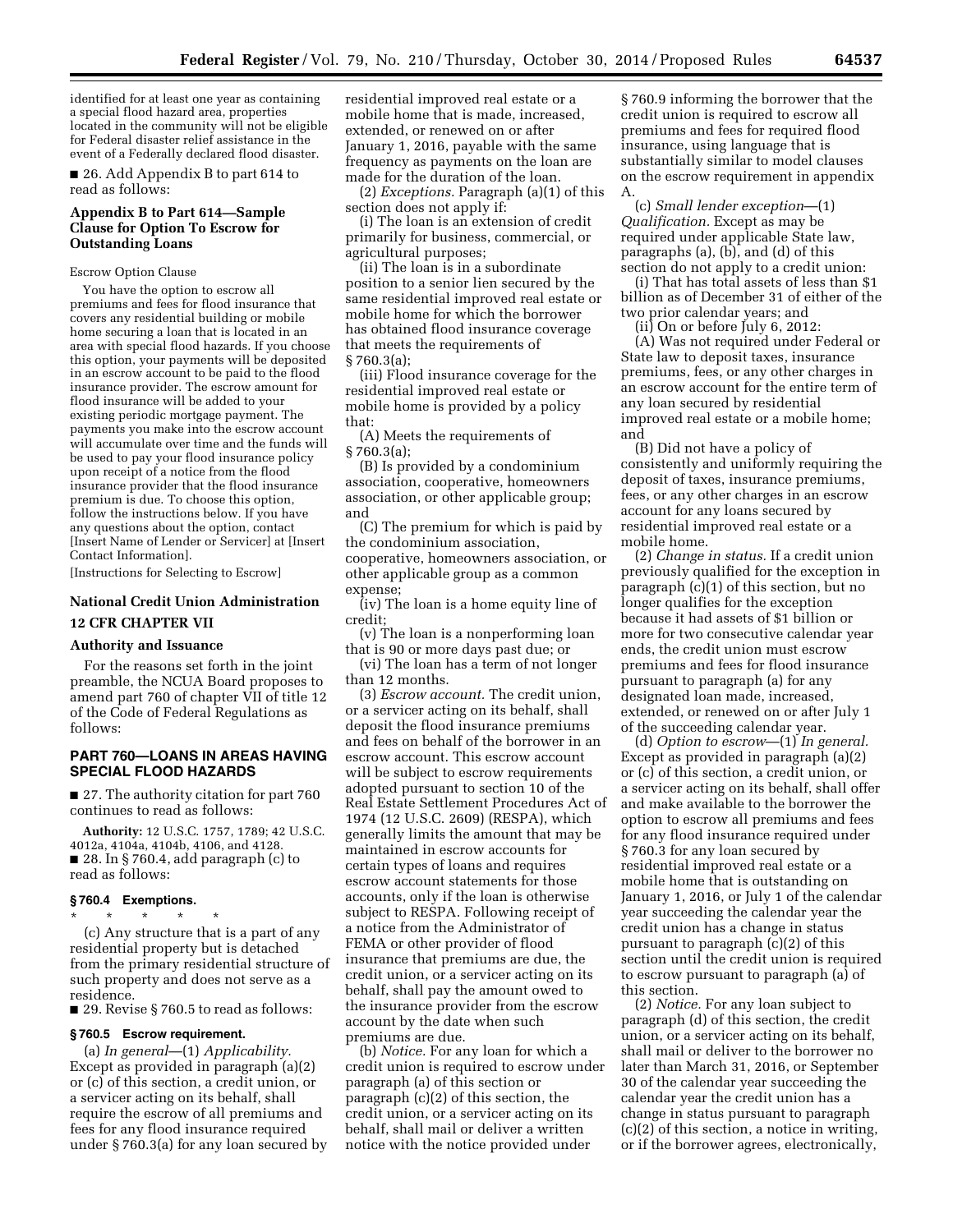identified for at least one year as containing a special flood hazard area, properties located in the community will not be eligible for Federal disaster relief assistance in the event of a Federally declared flood disaster.

■ 26. Add Appendix B to part 614 to read as follows:

# **Appendix B to Part 614—Sample Clause for Option To Escrow for Outstanding Loans**

#### Escrow Option Clause

You have the option to escrow all premiums and fees for flood insurance that covers any residential building or mobile home securing a loan that is located in an area with special flood hazards. If you choose this option, your payments will be deposited in an escrow account to be paid to the flood insurance provider. The escrow amount for flood insurance will be added to your existing periodic mortgage payment. The payments you make into the escrow account will accumulate over time and the funds will be used to pay your flood insurance policy upon receipt of a notice from the flood insurance provider that the flood insurance premium is due. To choose this option, follow the instructions below. If you have any questions about the option, contact [Insert Name of Lender or Servicer] at [Insert Contact Information].

[Instructions for Selecting to Escrow]

# **National Credit Union Administration 12 CFR CHAPTER VII**

#### **Authority and Issuance**

For the reasons set forth in the joint preamble, the NCUA Board proposes to amend part 760 of chapter VII of title 12 of the Code of Federal Regulations as follows:

# **PART 760—LOANS IN AREAS HAVING SPECIAL FLOOD HAZARDS**

■ 27. The authority citation for part 760 continues to read as follows:

**Authority:** 12 U.S.C. 1757, 1789; 42 U.S.C. 4012a, 4104a, 4104b, 4106, and 4128. ■ 28. In § 760.4, add paragraph (c) to read as follows:

## **§ 760.4 Exemptions.**

\* \* \* \* \* (c) Any structure that is a part of any residential property but is detached from the primary residential structure of such property and does not serve as a residence.

■ 29. Revise § 760.5 to read as follows:

## **§ 760.5 Escrow requirement.**

(a) *In general*—(1) *Applicability.*  Except as provided in paragraph (a)(2) or (c) of this section, a credit union, or a servicer acting on its behalf, shall require the escrow of all premiums and fees for any flood insurance required under § 760.3(a) for any loan secured by residential improved real estate or a mobile home that is made, increased, extended, or renewed on or after January 1, 2016, payable with the same frequency as payments on the loan are made for the duration of the loan.

(2) *Exceptions.* Paragraph (a)(1) of this section does not apply if:

(i) The loan is an extension of credit primarily for business, commercial, or agricultural purposes;

(ii) The loan is in a subordinate position to a senior lien secured by the same residential improved real estate or mobile home for which the borrower has obtained flood insurance coverage that meets the requirements of § 760.3(a);

(iii) Flood insurance coverage for the residential improved real estate or mobile home is provided by a policy that:

(A) Meets the requirements of § 760.3(a);

(B) Is provided by a condominium association, cooperative, homeowners association, or other applicable group; and

(C) The premium for which is paid by the condominium association, cooperative, homeowners association, or other applicable group as a common expense;

(iv) The loan is a home equity line of credit;

(v) The loan is a nonperforming loan that is 90 or more days past due; or

(vi) The loan has a term of not longer than 12 months.

(3) *Escrow account.* The credit union, or a servicer acting on its behalf, shall deposit the flood insurance premiums and fees on behalf of the borrower in an escrow account. This escrow account will be subject to escrow requirements adopted pursuant to section 10 of the Real Estate Settlement Procedures Act of 1974 (12 U.S.C. 2609) (RESPA), which generally limits the amount that may be maintained in escrow accounts for certain types of loans and requires escrow account statements for those accounts, only if the loan is otherwise subject to RESPA. Following receipt of a notice from the Administrator of FEMA or other provider of flood insurance that premiums are due, the credit union, or a servicer acting on its behalf, shall pay the amount owed to the insurance provider from the escrow account by the date when such premiums are due.

(b) *Notice.* For any loan for which a credit union is required to escrow under paragraph (a) of this section or paragraph (c)(2) of this section, the credit union, or a servicer acting on its behalf, shall mail or deliver a written notice with the notice provided under

§ 760.9 informing the borrower that the credit union is required to escrow all premiums and fees for required flood insurance, using language that is substantially similar to model clauses on the escrow requirement in appendix A.

(c) *Small lender exception*—(1) *Qualification.* Except as may be required under applicable State law, paragraphs (a), (b), and (d) of this section do not apply to a credit union:

(i) That has total assets of less than \$1 billion as of December 31 of either of the two prior calendar years; and

(ii) On or before July 6, 2012: (A) Was not required under Federal or State law to deposit taxes, insurance premiums, fees, or any other charges in an escrow account for the entire term of any loan secured by residential improved real estate or a mobile home; and

(B) Did not have a policy of consistently and uniformly requiring the deposit of taxes, insurance premiums, fees, or any other charges in an escrow account for any loans secured by residential improved real estate or a mobile home.

(2) *Change in status.* If a credit union previously qualified for the exception in paragraph (c)(1) of this section, but no longer qualifies for the exception because it had assets of \$1 billion or more for two consecutive calendar year ends, the credit union must escrow premiums and fees for flood insurance pursuant to paragraph (a) for any designated loan made, increased, extended, or renewed on or after July 1 of the succeeding calendar year.

(d) *Option to escrow*—(1) *In general.*  Except as provided in paragraph (a)(2) or (c) of this section, a credit union, or a servicer acting on its behalf, shall offer and make available to the borrower the option to escrow all premiums and fees for any flood insurance required under § 760.3 for any loan secured by residential improved real estate or a mobile home that is outstanding on January 1, 2016, or July 1 of the calendar year succeeding the calendar year the credit union has a change in status pursuant to paragraph (c)(2) of this section until the credit union is required to escrow pursuant to paragraph (a) of this section.

(2) *Notice.* For any loan subject to paragraph (d) of this section, the credit union, or a servicer acting on its behalf, shall mail or deliver to the borrower no later than March 31, 2016, or September 30 of the calendar year succeeding the calendar year the credit union has a change in status pursuant to paragraph (c)(2) of this section, a notice in writing, or if the borrower agrees, electronically,